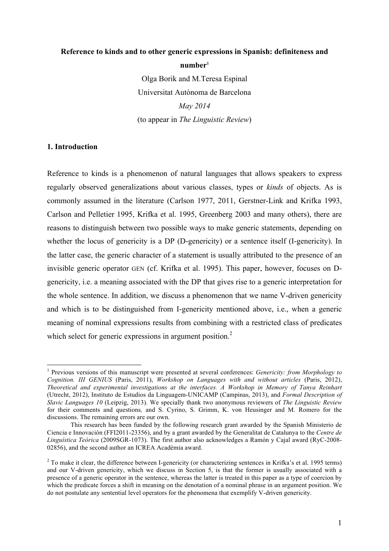# **Reference to kinds and to other generic expressions in Spanish: definiteness and number1**

Olga Borik and M.Teresa Espinal Universitat Autònoma de Barcelona *May 2014* (to appear in *The Linguistic Review*)

# **1. Introduction**

Reference to kinds is a phenomenon of natural languages that allows speakers to express regularly observed generalizations about various classes, types or *kinds* of objects. As is commonly assumed in the literature (Carlson 1977, 2011, Gerstner-Link and Krifka 1993, Carlson and Pelletier 1995, Krifka et al. 1995, Greenberg 2003 and many others), there are reasons to distinguish between two possible ways to make generic statements, depending on whether the locus of genericity is a DP (D-genericity) or a sentence itself (I-genericity). In the latter case, the generic character of a statement is usually attributed to the presence of an invisible generic operator GEN (cf. Krifka et al. 1995). This paper, however, focuses on Dgenericity, i.e. a meaning associated with the DP that gives rise to a generic interpretation for the whole sentence. In addition, we discuss a phenomenon that we name V-driven genericity and which is to be distinguished from I-genericity mentioned above, i.e., when a generic meaning of nominal expressions results from combining with a restricted class of predicates which select for generic expressions in argument position.<sup>2</sup>

 <sup>1</sup> Previous versions of this manuscript were presented at several conferences: *Genericity: from Morphology to Cognition. III GENIUS* (Paris, 2011), *Workshop on Languages with and without articles* (Paris, 2012), *Theoretical and experimental investigations at the interfaces. A Workshop in Memory of Tanya Reinhart* (Utrecht, 2012), Instituto de Estudios da Linguagem-UNICAMP (Campinas, 2013), and *Formal Description of Slavic Languages 10* (Leipzig, 2013). We specially thank two anonymous reviewers of *The Linguistic Review* for their comments and questions*,* and S. Cyrino, S. Grimm, K. von Heusinger and M. Romero for the discussions. The remaining errors are our own.

This research has been funded by the following research grant awarded by the Spanish Ministerio de Ciencia e Innovación (FFI2011-23356), and by a grant awarded by the Generalitat de Catalunya to the *Centre de Linguística Teòrica* (2009SGR-1073). The first author also acknowledges a Ramón y Cajal award (RyC-2008- 02856), and the second author an ICREA Acadèmia award.

<sup>&</sup>lt;sup>2</sup> To make it clear, the difference between I-genericity (or characterizing sentences in Krifka's et al. 1995 terms) and our V-driven genericity, which we discuss in Section 5, is that the former is usually associated with a presence of a generic operator in the sentence, whereas the latter is treated in this paper as a type of coercion by which the predicate forces a shift in meaning on the denotation of a nominal phrase in an argument position. We do not postulate any sentential level operators for the phenomena that exemplify V-driven genericity.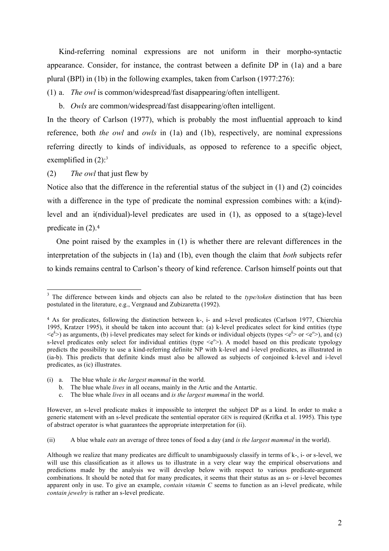Kind-referring nominal expressions are not uniform in their morpho-syntactic appearance. Consider, for instance, the contrast between a definite DP in (1a) and a bare plural (BPl) in (1b) in the following examples, taken from Carlson (1977:276):

(1) a. *The owl* is common/widespread/fast disappearing/often intelligent.

b. *Owls* are common/widespread/fast disappearing/often intelligent.

In the theory of Carlson (1977), which is probably the most influential approach to kind reference, both *the owl* and *owls* in (1a) and (1b), respectively, are nominal expressions referring directly to kinds of individuals, as opposed to reference to a specific object, exemplified in  $(2)$ :<sup>3</sup>

(2) *The owl* that just flew by

Notice also that the difference in the referential status of the subject in (1) and (2) coincides with a difference in the type of predicate the nominal expression combines with: a k(ind)level and an i(ndividual)-level predicates are used in (1), as opposed to a s(tage)-level predicate in (2).<sup>4</sup>

One point raised by the examples in (1) is whether there are relevant differences in the interpretation of the subjects in (1a) and (1b), even though the claim that *both* subjects refer to kinds remains central to Carlson's theory of kind reference. Carlson himself points out that

<sup>&</sup>lt;sup>3</sup> The difference between kinds and objects can also be related to the *type/token* distinction that has been postulated in the literature, e.g., Vergnaud and Zubizaretta (1992).

<sup>4</sup> As for predicates, following the distinction between k-, i- and s-level predicates (Carlson 1977, Chierchia 1995, Kratzer 1995), it should be taken into account that: (a) k-level predicates select for kind entities (type  $\langle e^{k} \rangle$  as arguments, (b) i-level predicates may select for kinds or individual objects (types  $\langle e^{k} \rangle$  or  $\langle e^{k} \rangle$ , and (c) s-level predicates only select for individual entities (type  $\langle e^{\circ} \rangle$ ). A model based on this predicate typology predicts the possibility to use a kind-referring definite NP with k-level and i-level predicates, as illustrated in (ia-b). This predicts that definite kinds must also be allowed as subjects of conjoined k-level and i-level predicates, as (ic) illustrates.

<sup>(</sup>i) a. The blue whale *is the largest mammal* in the world.

b. The blue whale *lives* in all oceans, mainly in the Artic and the Antartic.

c. The blue whale *lives* in all oceans and *is the largest mammal* in the world.

However, an s-level predicate makes it impossible to interpret the subject DP as a kind. In order to make a generic statement with an s-level predicate the sentential operator GEN is required (Krifka et al. 1995). This type of abstract operator is what guarantees the appropriate interpretation for (ii).

<sup>(</sup>ii) A blue whale *eats* an average of three tones of food a day (and *is the largest mammal* in the world).

Although we realize that many predicates are difficult to unambiguously classify in terms of k-, i- or s-level, we will use this classification as it allows us to illustrate in a very clear way the empirical observations and predictions made by the analysis we will develop below with respect to various predicate-argument combinations. It should be noted that for many predicates, it seems that their status as an s- or i-level becomes apparent only in use. To give an example, *contain vitamin C* seems to function as an i-level predicate, while *contain jewelry* is rather an s-level predicate.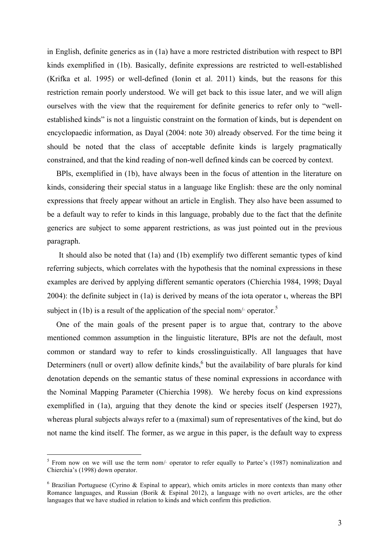in English, definite generics as in (1a) have a more restricted distribution with respect to BPl kinds exemplified in (1b). Basically, definite expressions are restricted to well-established (Krifka et al. 1995) or well-defined (Ionin et al. 2011) kinds, but the reasons for this restriction remain poorly understood. We will get back to this issue later, and we will align ourselves with the view that the requirement for definite generics to refer only to "wellestablished kinds" is not a linguistic constraint on the formation of kinds, but is dependent on encyclopaedic information, as Dayal (2004: note 30) already observed. For the time being it should be noted that the class of acceptable definite kinds is largely pragmatically constrained, and that the kind reading of non-well defined kinds can be coerced by context.

BPls, exemplified in (1b), have always been in the focus of attention in the literature on kinds, considering their special status in a language like English: these are the only nominal expressions that freely appear without an article in English. They also have been assumed to be a default way to refer to kinds in this language, probably due to the fact that the definite generics are subject to some apparent restrictions, as was just pointed out in the previous paragraph.

It should also be noted that (1a) and (1b) exemplify two different semantic types of kind referring subjects, which correlates with the hypothesis that the nominal expressions in these examples are derived by applying different semantic operators (Chierchia 1984, 1998; Dayal 2004): the definite subject in (1a) is derived by means of the iota operator ι, whereas the BPl subject in (1b) is a result of the application of the special nom/ $\alpha$  operator.<sup>5</sup>

One of the main goals of the present paper is to argue that, contrary to the above mentioned common assumption in the linguistic literature, BPls are not the default, most common or standard way to refer to kinds crosslinguistically. All languages that have Determiners (null or overt) allow definite kinds,<sup>6</sup> but the availability of bare plurals for kind denotation depends on the semantic status of these nominal expressions in accordance with the Nominal Mapping Parameter (Chierchia 1998). We hereby focus on kind expressions exemplified in (1a), arguing that they denote the kind or species itself (Jespersen 1927), whereas plural subjects always refer to a (maximal) sum of representatives of the kind, but do not name the kind itself. The former, as we argue in this paper, is the default way to express

 

 $5$  From now on we will use the term nom/ $\circ$  operator to refer equally to Partee's (1987) nominalization and Chierchia's (1998) down operator.

 $6$  Brazilian Portuguese (Cyrino & Espinal to appear), which omits articles in more contexts than many other Romance languages, and Russian (Borik & Espinal 2012), a language with no overt articles, are the other languages that we have studied in relation to kinds and which confirm this prediction.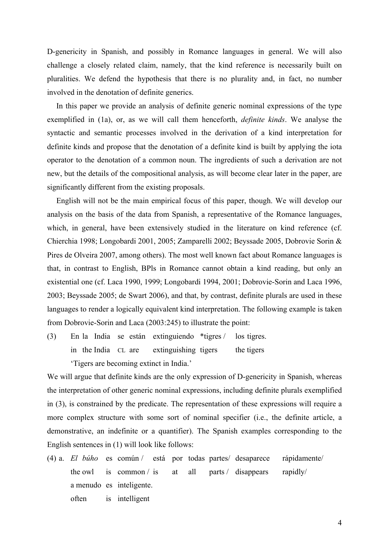D-genericity in Spanish, and possibly in Romance languages in general. We will also challenge a closely related claim, namely, that the kind reference is necessarily built on pluralities. We defend the hypothesis that there is no plurality and, in fact, no number involved in the denotation of definite generics.

In this paper we provide an analysis of definite generic nominal expressions of the type exemplified in (1a), or, as we will call them henceforth, *definite kinds*. We analyse the syntactic and semantic processes involved in the derivation of a kind interpretation for definite kinds and propose that the denotation of a definite kind is built by applying the iota operator to the denotation of a common noun. The ingredients of such a derivation are not new, but the details of the compositional analysis, as will become clear later in the paper, are significantly different from the existing proposals.

English will not be the main empirical focus of this paper, though. We will develop our analysis on the basis of the data from Spanish, a representative of the Romance languages, which, in general, have been extensively studied in the literature on kind reference (cf. Chierchia 1998; Longobardi 2001, 2005; Zamparelli 2002; Beyssade 2005, Dobrovie Sorin & Pires de Olveira 2007, among others). The most well known fact about Romance languages is that, in contrast to English, BPls in Romance cannot obtain a kind reading, but only an existential one (cf. Laca 1990, 1999; Longobardi 1994, 2001; Dobrovie-Sorin and Laca 1996, 2003; Beyssade 2005; de Swart 2006), and that, by contrast, definite plurals are used in these languages to render a logically equivalent kind interpretation. The following example is taken from Dobrovie-Sorin and Laca (2003:245) to illustrate the point:

(3) En la India se están extinguiendo \*tigres / los tigres. in the India CL are extinguishing tigers the tigers 'Tigers are becoming extinct in India.'

We will argue that definite kinds are the only expression of D-genericity in Spanish, whereas the interpretation of other generic nominal expressions, including definite plurals exemplified in (3), is constrained by the predicate. The representation of these expressions will require a more complex structure with some sort of nominal specifier (i.e., the definite article, a demonstrative, an indefinite or a quantifier). The Spanish examples corresponding to the English sentences in (1) will look like follows:

(4) a. *El búho* es común / está por todas partes/ desaparece rápidamente/ the owl is common / is at all parts / disappears rapidly a menudo es inteligente. often is intelligent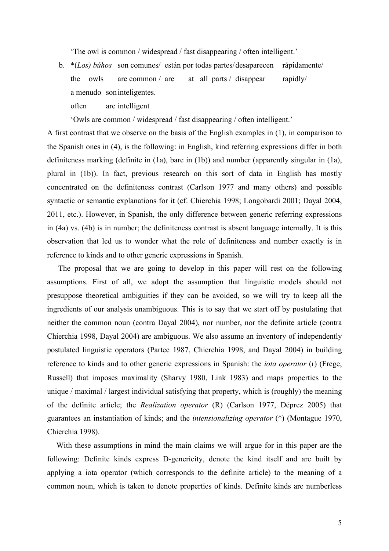'The owl is common / widespread / fast disappearing / often intelligent.'

- b. \*(*Los) búhos* son comunes/ están por todas partes/desaparecen rápidamente/ the owls are common / are at all parts / disappear rapidly/ a menudo soninteligentes.
	- often are intelligent

'Owls are common / widespread / fast disappearing / often intelligent.'

A first contrast that we observe on the basis of the English examples in (1), in comparison to the Spanish ones in (4), is the following: in English, kind referring expressions differ in both definiteness marking (definite in (1a), bare in (1b)) and number (apparently singular in (1a), plural in (1b)). In fact, previous research on this sort of data in English has mostly concentrated on the definiteness contrast (Carlson 1977 and many others) and possible syntactic or semantic explanations for it (cf. Chierchia 1998; Longobardi 2001; Dayal 2004, 2011, etc.). However, in Spanish, the only difference between generic referring expressions in (4a) vs. (4b) is in number; the definiteness contrast is absent language internally. It is this observation that led us to wonder what the role of definiteness and number exactly is in reference to kinds and to other generic expressions in Spanish.

The proposal that we are going to develop in this paper will rest on the following assumptions. First of all, we adopt the assumption that linguistic models should not presuppose theoretical ambiguities if they can be avoided, so we will try to keep all the ingredients of our analysis unambiguous. This is to say that we start off by postulating that neither the common noun (contra Dayal 2004), nor number, nor the definite article (contra Chierchia 1998, Dayal 2004) are ambiguous. We also assume an inventory of independently postulated linguistic operators (Partee 1987, Chierchia 1998, and Dayal 2004) in building reference to kinds and to other generic expressions in Spanish: the *iota operator* (ι) (Frege, Russell) that imposes maximality (Sharvy 1980, Link 1983) and maps properties to the unique / maximal / largest individual satisfying that property, which is (roughly) the meaning of the definite article; the *Realization operator* (R) (Carlson 1977, Déprez 2005) that guarantees an instantiation of kinds; and the *intensionalizing operator* (^) (Montague 1970, Chierchia 1998).

With these assumptions in mind the main claims we will argue for in this paper are the following: Definite kinds express D-genericity, denote the kind itself and are built by applying a iota operator (which corresponds to the definite article) to the meaning of a common noun, which is taken to denote properties of kinds. Definite kinds are numberless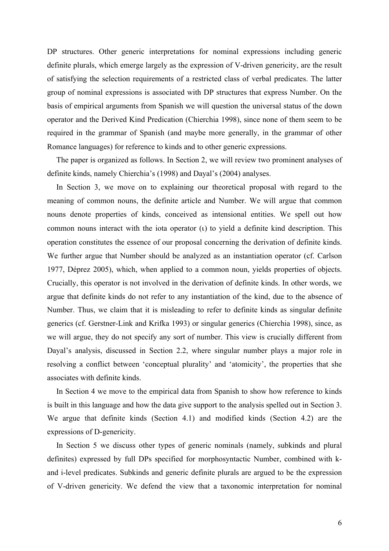DP structures. Other generic interpretations for nominal expressions including generic definite plurals, which emerge largely as the expression of V-driven genericity, are the result of satisfying the selection requirements of a restricted class of verbal predicates. The latter group of nominal expressions is associated with DP structures that express Number. On the basis of empirical arguments from Spanish we will question the universal status of the down operator and the Derived Kind Predication (Chierchia 1998), since none of them seem to be required in the grammar of Spanish (and maybe more generally, in the grammar of other Romance languages) for reference to kinds and to other generic expressions.

The paper is organized as follows. In Section 2, we will review two prominent analyses of definite kinds, namely Chierchia's (1998) and Dayal's (2004) analyses.

In Section 3, we move on to explaining our theoretical proposal with regard to the meaning of common nouns, the definite article and Number. We will argue that common nouns denote properties of kinds, conceived as intensional entities. We spell out how common nouns interact with the iota operator (ι) to yield a definite kind description. This operation constitutes the essence of our proposal concerning the derivation of definite kinds. We further argue that Number should be analyzed as an instantiation operator (cf. Carlson 1977, Déprez 2005), which, when applied to a common noun, yields properties of objects. Crucially, this operator is not involved in the derivation of definite kinds. In other words, we argue that definite kinds do not refer to any instantiation of the kind, due to the absence of Number. Thus, we claim that it is misleading to refer to definite kinds as singular definite generics (cf. Gerstner-Link and Krifka 1993) or singular generics (Chierchia 1998), since, as we will argue, they do not specify any sort of number. This view is crucially different from Dayal's analysis, discussed in Section 2.2, where singular number plays a major role in resolving a conflict between 'conceptual plurality' and 'atomicity', the properties that she associates with definite kinds.

In Section 4 we move to the empirical data from Spanish to show how reference to kinds is built in this language and how the data give support to the analysis spelled out in Section 3. We argue that definite kinds (Section 4.1) and modified kinds (Section 4.2) are the expressions of D-genericity.

In Section 5 we discuss other types of generic nominals (namely, subkinds and plural definites) expressed by full DPs specified for morphosyntactic Number, combined with kand i-level predicates. Subkinds and generic definite plurals are argued to be the expression of V-driven genericity. We defend the view that a taxonomic interpretation for nominal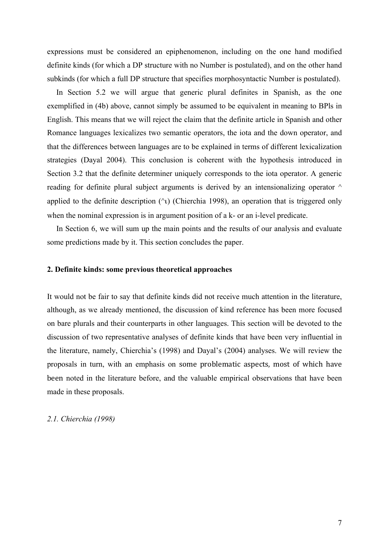expressions must be considered an epiphenomenon, including on the one hand modified definite kinds (for which a DP structure with no Number is postulated), and on the other hand subkinds (for which a full DP structure that specifies morphosyntactic Number is postulated).

In Section 5.2 we will argue that generic plural definites in Spanish, as the one exemplified in (4b) above, cannot simply be assumed to be equivalent in meaning to BPls in English. This means that we will reject the claim that the definite article in Spanish and other Romance languages lexicalizes two semantic operators, the iota and the down operator, and that the differences between languages are to be explained in terms of different lexicalization strategies (Dayal 2004). This conclusion is coherent with the hypothesis introduced in Section 3.2 that the definite determiner uniquely corresponds to the iota operator. A generic reading for definite plural subject arguments is derived by an intensionalizing operator  $\wedge$ applied to the definite description  $(\lambda)$  (Chierchia 1998), an operation that is triggered only when the nominal expression is in argument position of a k- or an i-level predicate.

In Section 6, we will sum up the main points and the results of our analysis and evaluate some predictions made by it. This section concludes the paper.

# **2. Definite kinds: some previous theoretical approaches**

It would not be fair to say that definite kinds did not receive much attention in the literature, although, as we already mentioned, the discussion of kind reference has been more focused on bare plurals and their counterparts in other languages. This section will be devoted to the discussion of two representative analyses of definite kinds that have been very influential in the literature, namely, Chierchia's (1998) and Dayal's (2004) analyses. We will review the proposals in turn, with an emphasis on some problematic aspects, most of which have been noted in the literature before, and the valuable empirical observations that have been made in these proposals.

#### *2.1. Chierchia (1998)*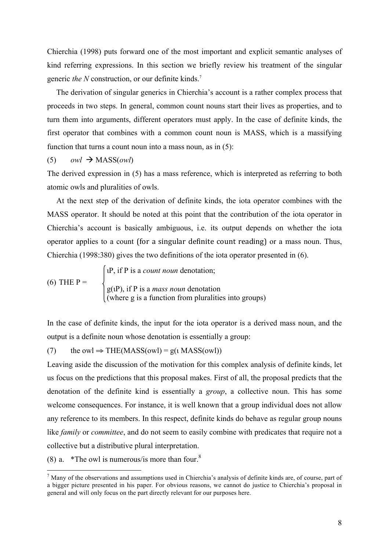Chierchia (1998) puts forward one of the most important and explicit semantic analyses of kind referring expressions. In this section we briefly review his treatment of the singular generic *the N* construction, or our definite kinds. 7

The derivation of singular generics in Chierchia's account is a rather complex process that proceeds in two steps. In general, common count nouns start their lives as properties, and to turn them into arguments, different operators must apply. In the case of definite kinds, the first operator that combines with a common count noun is MASS, which is a massifying function that turns a count noun into a mass noun, as in  $(5)$ :

### $(v_5)$  *owl*  $\rightarrow$  MASS(*owl*)

The derived expression in (5) has a mass reference, which is interpreted as referring to both atomic owls and pluralities of owls.

At the next step of the derivation of definite kinds, the iota operator combines with the MASS operator. It should be noted at this point that the contribution of the iota operator in Chierchia's account is basically ambiguous, i.e. its output depends on whether the iota operator applies to a count (for a singular definite count reading) or a mass noun. Thus, Chierchia (1998:380) gives the two definitions of the iota operator presented in (6).

ιP, if P is a *count noun* denotation; g(ιP), if P is a *mass noun* denotation (where g is a function from pluralities into groups)  $(6)$  THE P =

In the case of definite kinds, the input for the iota operator is a derived mass noun, and the output is a definite noun whose denotation is essentially a group:

(7) the owl  $\Rightarrow$  THE(MASS(owl) = g( $\iota$  MASS(owl))

Leaving aside the discussion of the motivation for this complex analysis of definite kinds, let us focus on the predictions that this proposal makes. First of all, the proposal predicts that the denotation of the definite kind is essentially a *group*, a collective noun. This has some welcome consequences. For instance, it is well known that a group individual does not allow any reference to its members. In this respect, definite kinds do behave as regular group nouns like *family* or *committee*, and do not seem to easily combine with predicates that require not a collective but a distributive plural interpretation.

(8) a.  $*$ The owl is numerous/is more than four.<sup>8</sup>

 $<sup>7</sup>$  Many of the observations and assumptions used in Chierchia's analysis of definite kinds are, of course, part of</sup> a bigger picture presented in his paper. For obvious reasons, we cannot do justice to Chierchia's proposal in general and will only focus on the part directly relevant for our purposes here.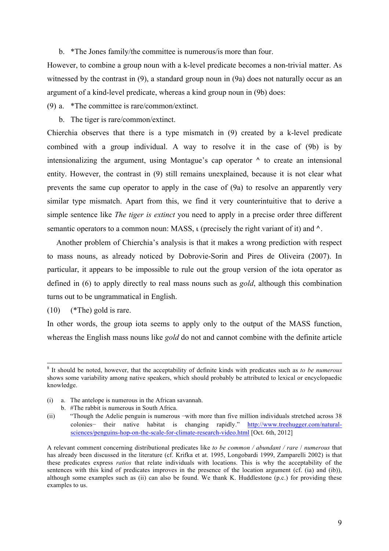b. \*The Jones family/the committee is numerous/is more than four.

However, to combine a group noun with a k-level predicate becomes a non-trivial matter. As witnessed by the contrast in (9), a standard group noun in (9a) does not naturally occur as an argument of a kind-level predicate, whereas a kind group noun in (9b) does:

(9) a. \*The committee is rare/common/extinct.

b. The tiger is rare/common/extinct.

Chierchia observes that there is a type mismatch in (9) created by a k-level predicate combined with a group individual. A way to resolve it in the case of (9b) is by intensionalizing the argument, using Montague's cap operator ^ to create an intensional entity. However, the contrast in (9) still remains unexplained, because it is not clear what prevents the same cup operator to apply in the case of (9a) to resolve an apparently very similar type mismatch. Apart from this, we find it very counterintuitive that to derive a simple sentence like *The tiger is extinct* you need to apply in a precise order three different semantic operators to a common noun: MASS,  $\iota$  (precisely the right variant of it) and  $\iota$ .

Another problem of Chierchia's analysis is that it makes a wrong prediction with respect to mass nouns, as already noticed by Dobrovie-Sorin and Pires de Oliveira (2007). In particular, it appears to be impossible to rule out the group version of the iota operator as defined in (6) to apply directly to real mass nouns such as *gold*, although this combination turns out to be ungrammatical in English.

(10) (\*The) gold is rare.

In other words, the group iota seems to apply only to the output of the MASS function, whereas the English mass nouns like *gold* do not and cannot combine with the definite article

(i) a. The antelope is numerous in the African savannah.

b. #The rabbit is numerous in South Africa.

 <sup>8</sup> It should be noted, however, that the acceptability of definite kinds with predicates such as *to be numerous*  shows some variability among native speakers, which should probably be attributed to lexical or encyclopaedic knowledge.

<sup>(</sup>ii) "Though the Adelie penguin is numerous −with more than five million individuals stretched across 38 colonies− their native habitat is changing rapidly." http://www.treehugger.com/naturalsciences/penguins-hop-on-the-scale-for-climate-research-video.html [Oct. 6th, 2012]

A relevant comment concerning distributional predicates like *to be common / abundant / rare* / *numerous* that has already been discussed in the literature (cf. Krifka et at. 1995, Longobardi 1999, Zamparelli 2002) is that these predicates express *ratios* that relate individuals with locations. This is why the acceptability of the sentences with this kind of predicates improves in the presence of the location argument (cf. (ia) and (ib)), although some examples such as (ii) can also be found. We thank K. Huddlestone (p.c.) for providing these examples to us.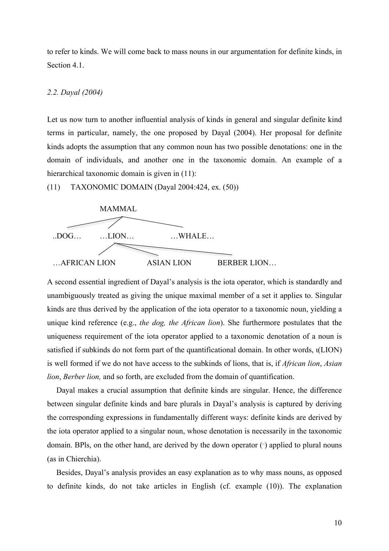to refer to kinds. We will come back to mass nouns in our argumentation for definite kinds, in Section 4.1.

## *2.2. Dayal (2004)*

Let us now turn to another influential analysis of kinds in general and singular definite kind terms in particular, namely, the one proposed by Dayal (2004). Her proposal for definite kinds adopts the assumption that any common noun has two possible denotations: one in the domain of individuals, and another one in the taxonomic domain. An example of a hierarchical taxonomic domain is given in  $(11)$ :

(11) TAXONOMIC DOMAIN (Dayal 2004:424, ex. (50))



A second essential ingredient of Dayal's analysis is the iota operator, which is standardly and unambiguously treated as giving the unique maximal member of a set it applies to. Singular kinds are thus derived by the application of the iota operator to a taxonomic noun, yielding a unique kind reference (e.g., *the dog, the African lion*). She furthermore postulates that the uniqueness requirement of the iota operator applied to a taxonomic denotation of a noun is satisfied if subkinds do not form part of the quantificational domain. In other words, ι(LION) is well formed if we do not have access to the subkinds of lions, that is, if *African lion*, *Asian lion*, *Berber lion,* and so forth, are excluded from the domain of quantification.

Dayal makes a crucial assumption that definite kinds are singular. Hence, the difference between singular definite kinds and bare plurals in Dayal's analysis is captured by deriving the corresponding expressions in fundamentally different ways: definite kinds are derived by the iota operator applied to a singular noun, whose denotation is necessarily in the taxonomic domain. BPls, on the other hand, are derived by the down operator  $($ <sup>o</sup>) applied to plural nouns (as in Chierchia).

Besides, Dayal's analysis provides an easy explanation as to why mass nouns, as opposed to definite kinds, do not take articles in English (cf. example (10)). The explanation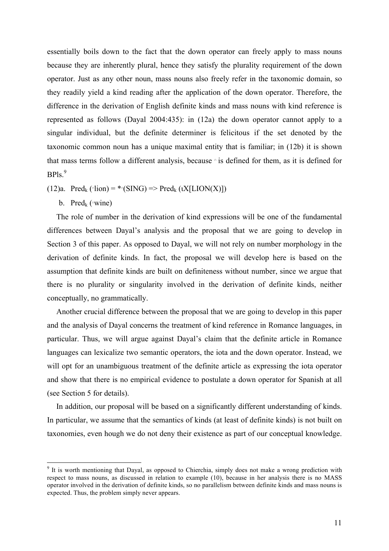essentially boils down to the fact that the down operator can freely apply to mass nouns because they are inherently plural, hence they satisfy the plurality requirement of the down operator. Just as any other noun, mass nouns also freely refer in the taxonomic domain, so they readily yield a kind reading after the application of the down operator. Therefore, the difference in the derivation of English definite kinds and mass nouns with kind reference is represented as follows (Dayal 2004:435): in (12a) the down operator cannot apply to a singular individual, but the definite determiner is felicitous if the set denoted by the taxonomic common noun has a unique maximal entity that is familiar; in (12b) it is shown that mass terms follow a different analysis, because <sup>∩</sup> is defined for them, as it is defined for  $BPIs.<sup>9</sup>$ 

(12)a. Pred<sub>k</sub> (∩lion) = \*∩(SING) => Pred<sub>k</sub> ( $(X[LION(X)])$ 

b. Pred<sub>k</sub> ( $\alpha$ wine)

The role of number in the derivation of kind expressions will be one of the fundamental differences between Dayal's analysis and the proposal that we are going to develop in Section 3 of this paper. As opposed to Dayal, we will not rely on number morphology in the derivation of definite kinds. In fact, the proposal we will develop here is based on the assumption that definite kinds are built on definiteness without number, since we argue that there is no plurality or singularity involved in the derivation of definite kinds, neither conceptually, no grammatically.

Another crucial difference between the proposal that we are going to develop in this paper and the analysis of Dayal concerns the treatment of kind reference in Romance languages, in particular. Thus, we will argue against Dayal's claim that the definite article in Romance languages can lexicalize two semantic operators, the iota and the down operator. Instead, we will opt for an unambiguous treatment of the definite article as expressing the iota operator and show that there is no empirical evidence to postulate a down operator for Spanish at all (see Section 5 for details).

In addition, our proposal will be based on a significantly different understanding of kinds. In particular, we assume that the semantics of kinds (at least of definite kinds) is not built on taxonomies, even hough we do not deny their existence as part of our conceptual knowledge.

<sup>&</sup>lt;sup>9</sup> It is worth mentioning that Dayal, as opposed to Chierchia, simply does not make a wrong prediction with respect to mass nouns, as discussed in relation to example (10), because in her analysis there is no MASS operator involved in the derivation of definite kinds, so no parallelism between definite kinds and mass nouns is expected. Thus, the problem simply never appears.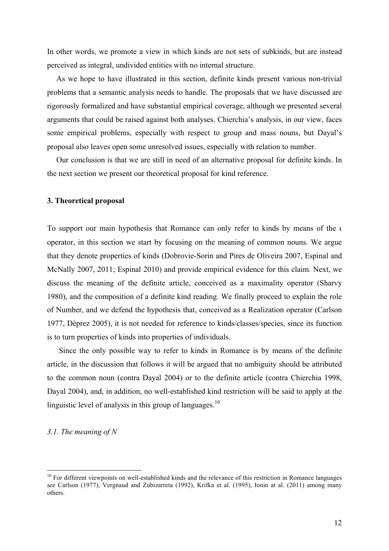In other words, we promote a view in which kinds are not sets of subkinds, but are instead perceived as integral, undivided entities with no internal structure.

As we hope to have illustrated in this section, definite kinds present various non-trivial problems that a semantic analysis needs to handle. The proposals that we have discussed are rigorously formalized and have substantial empirical coverage, although we presented several arguments that could be raised against both analyses. Chierchia's analysis, in our view, faces some empirical problems, especially with respect to group and mass nouns, but Dayal's proposal also leaves open some unresolved issues, especially with relation to number.

Our conclusion is that we are still in need of an alternative proposal for definite kinds. In the next section we present our theoretical proposal for kind reference.

## **3. Theoretical proposal**

To support our main hypothesis that Romance can only refer to kinds by means of the ι operator, in this section we start by focusing on the meaning of common nouns. We argue that they denote properties of kinds (Dobrovie-Sorin and Pires de Oliveira 2007, Espinal and McNally 2007, 2011; Espinal 2010) and provide empirical evidence for this claim. Next, we discuss the meaning of the definite article, conceived as a maximality operator (Sharvy 1980), and the composition of a definite kind reading. We finally proceed to explain the role of Number, and we defend the hypothesis that, conceived as a Realization operator (Carlson 1977, Déprez 2005), it is not needed for reference to kinds/classes/species, since its function is to turn properties of kinds into properties of individuals.

Since the only possible way to refer to kinds in Romance is by means of the definite article, in the discussion that follows it will be argued that no ambiguity should be attributed to the common noun (contra Dayal 2004) or to the definite article (contra Chierchia 1998, Dayal 2004), and, in addition, no well-established kind restriction will be said to apply at the linguistic level of analysis in this group of languages.<sup>10</sup>

#### *3.1. The meaning of N*

 $10$  For different viewpoints on well-established kinds and the relevance of this restriction in Romance languages see Carlson (1977), Vergnaud and Zubizarreta (1992), Krifka et al. (1995), Ionin at al. (2011) among many others.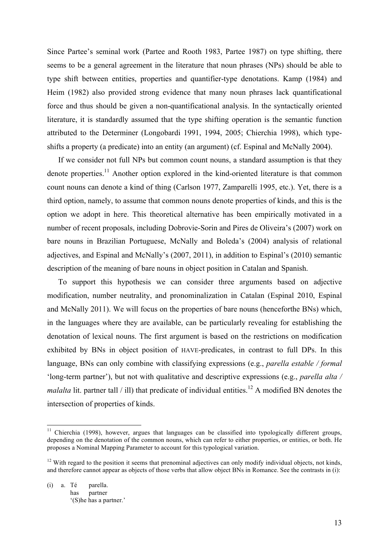Since Partee's seminal work (Partee and Rooth 1983, Partee 1987) on type shifting, there seems to be a general agreement in the literature that noun phrases (NPs) should be able to type shift between entities, properties and quantifier-type denotations. Kamp (1984) and Heim (1982) also provided strong evidence that many noun phrases lack quantificational force and thus should be given a non-quantificational analysis. In the syntactically oriented literature, it is standardly assumed that the type shifting operation is the semantic function attributed to the Determiner (Longobardi 1991, 1994, 2005; Chierchia 1998), which typeshifts a property (a predicate) into an entity (an argument) (cf. Espinal and McNally 2004).

If we consider not full NPs but common count nouns, a standard assumption is that they denote properties.<sup>11</sup> Another option explored in the kind-oriented literature is that common count nouns can denote a kind of thing (Carlson 1977, Zamparelli 1995, etc.). Yet, there is a third option, namely, to assume that common nouns denote properties of kinds, and this is the option we adopt in here. This theoretical alternative has been empirically motivated in a number of recent proposals, including Dobrovie-Sorin and Pires de Oliveira's (2007) work on bare nouns in Brazilian Portuguese, McNally and Boleda's (2004) analysis of relational adjectives, and Espinal and McNally's (2007, 2011), in addition to Espinal's (2010) semantic description of the meaning of bare nouns in object position in Catalan and Spanish.

To support this hypothesis we can consider three arguments based on adjective modification, number neutrality, and pronominalization in Catalan (Espinal 2010, Espinal and McNally 2011). We will focus on the properties of bare nouns (henceforthe BNs) which, in the languages where they are available, can be particularly revealing for establishing the denotation of lexical nouns. The first argument is based on the restrictions on modification exhibited by BNs in object position of HAVE-predicates, in contrast to full DPs. In this language, BNs can only combine with classifying expressions (e.g., *parella estable / formal*  'long-term partner'), but not with qualitative and descriptive expressions (e.g., *parella alta / malalta* lit. partner tall / ill) that predicate of individual entities.<sup>12</sup> A modified BN denotes the intersection of properties of kinds.

<sup>&</sup>lt;sup>11</sup> Chierchia (1998), however, argues that languages can be classified into typologically different groups, depending on the denotation of the common nouns, which can refer to either properties, or entities, or both. He proposes a Nominal Mapping Parameter to account for this typological variation.

 $12$  With regard to the position it seems that prenominal adjectives can only modify individual objects, not kinds, and therefore cannot appear as objects of those verbs that allow object BNs in Romance. See the contrasts in (i):

<sup>(</sup>i) a. Té parella. has partner '(S)he has a partner.'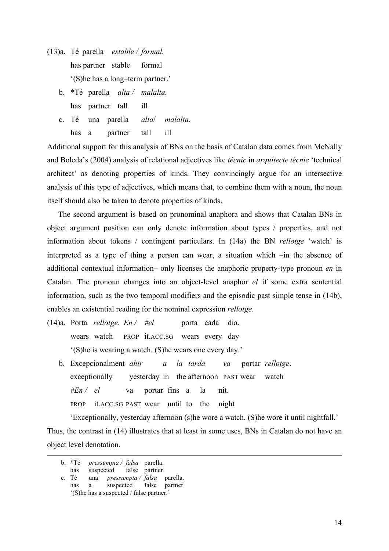- (13)a. Té parella *estable / formal.* has partner stable formal '(S)he has a long–term partner.'
	- b. \*Té parella *alta / malalta.* has partner tall ill
	- c. Té una parella *alta*/ *malalta*. has a partner tall ill

Additional support for this analysis of BNs on the basis of Catalan data comes from McNally and Boleda's (2004) analysis of relational adjectives like *tècnic* in *arquitecte tècnic* 'technical architect' as denoting properties of kinds. They convincingly argue for an intersective analysis of this type of adjectives, which means that, to combine them with a noun, the noun itself should also be taken to denote properties of kinds.

The second argument is based on pronominal anaphora and shows that Catalan BNs in object argument position can only denote information about types / properties, and not information about tokens / contingent particulars. In (14a) the BN *rellotge* 'watch' is interpreted as a type of thing a person can wear, a situation which –in the absence of additional contextual information– only licenses the anaphoric property-type pronoun *en* in Catalan. The pronoun changes into an object-level anaphor *el* if some extra sentential information, such as the two temporal modifiers and the episodic past simple tense in (14b), enables an existential reading for the nominal expression *rellotge*.

- (14)a. Porta *rellotge*. *En / #el* porta cada dia. wears watch PROP it.ACC.SG wears every day '(S)he is wearing a watch. (S)he wears one every day.'
	- b. Excepcionalment *ahir a la tarda va* portar *rellotge*. exceptionally yesterday in the afternoon PAST wear watch *#En / el* va portar fins a la nit. PROP it.ACC.SG PAST wear until to the night

'Exceptionally, yesterday afternoon (s)he wore a watch. (S)he wore it until nightfall.' Thus, the contrast in (14) illustrates that at least in some uses, BNs in Catalan do not have an object level denotation.

<u> 1989 - Andrea San Andrea San Andrea San Andrea San Andrea San Andrea San Andrea San Andrea San Andrea San An</u>

b. \*Té *pressumpta / falsa* parella.

has suspected false partner

c. Té una *pressumpta / falsa* parella. has a suspected false partner '(S)he has a suspected / false partner.'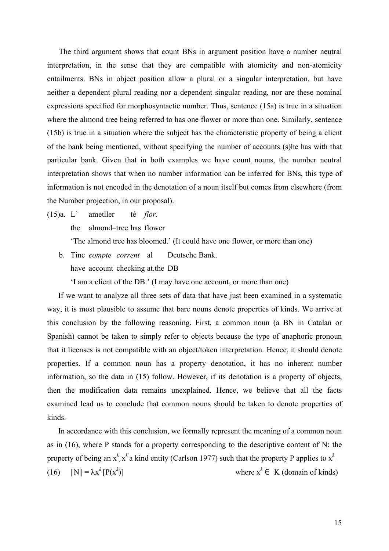The third argument shows that count BNs in argument position have a number neutral interpretation, in the sense that they are compatible with atomicity and non-atomicity entailments. BNs in object position allow a plural or a singular interpretation, but have neither a dependent plural reading nor a dependent singular reading, nor are these nominal expressions specified for morphosyntactic number. Thus, sentence (15a) is true in a situation where the almond tree being referred to has one flower or more than one. Similarly, sentence (15b) is true in a situation where the subject has the characteristic property of being a client of the bank being mentioned, without specifying the number of accounts (s)he has with that particular bank. Given that in both examples we have count nouns, the number neutral interpretation shows that when no number information can be inferred for BNs, this type of information is not encoded in the denotation of a noun itself but comes from elsewhere (from the Number projection, in our proposal).

(15)a. L' ametller té *flor.*

the almond–tree has flower

'The almond tree has bloomed.' (It could have one flower, or more than one)

b. Tinc *compte corrent* al Deutsche Bank. have account checking at.the DB

'I am a client of the DB.' (I may have one account, or more than one)

If we want to analyze all three sets of data that have just been examined in a systematic way, it is most plausible to assume that bare nouns denote properties of kinds. We arrive at this conclusion by the following reasoning. First, a common noun (a BN in Catalan or Spanish) cannot be taken to simply refer to objects because the type of anaphoric pronoun that it licenses is not compatible with an object/token interpretation. Hence, it should denote properties. If a common noun has a property denotation, it has no inherent number information, so the data in (15) follow. However, if its denotation is a property of objects, then the modification data remains unexplained. Hence, we believe that all the facts examined lead us to conclude that common nouns should be taken to denote properties of kinds.

In accordance with this conclusion, we formally represent the meaning of a common noun as in (16), where P stands for a property corresponding to the descriptive content of N: the property of being an  $x^k$ ,  $x^k$  a kind entity (Carlson 1977) such that the property P applies to  $x^k$ . (16)  $||N|| = \lambda x^k [P(x^k)]$ where  $x^k \in K$  (domain of kinds)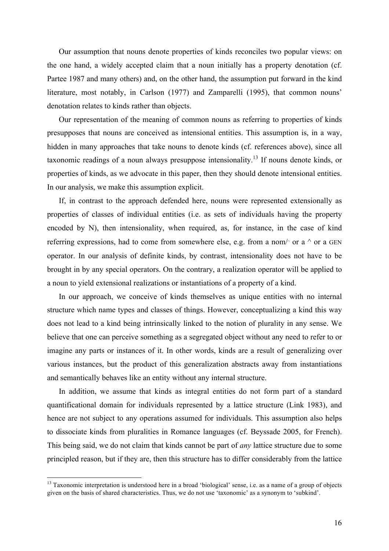Our assumption that nouns denote properties of kinds reconciles two popular views: on the one hand, a widely accepted claim that a noun initially has a property denotation (cf. Partee 1987 and many others) and, on the other hand, the assumption put forward in the kind literature, most notably, in Carlson (1977) and Zamparelli (1995), that common nouns' denotation relates to kinds rather than objects.

Our representation of the meaning of common nouns as referring to properties of kinds presupposes that nouns are conceived as intensional entities. This assumption is, in a way, hidden in many approaches that take nouns to denote kinds (cf. references above), since all taxonomic readings of a noun always presuppose intensionality.<sup>13</sup> If nouns denote kinds, or properties of kinds, as we advocate in this paper, then they should denote intensional entities. In our analysis, we make this assumption explicit.

If, in contrast to the approach defended here, nouns were represented extensionally as properties of classes of individual entities (i.e. as sets of individuals having the property encoded by N), then intensionality, when required, as, for instance, in the case of kind referring expressions, had to come from somewhere else, e.g. from a nom/ $\alpha$  or a  $\alpha$  or a GEN operator. In our analysis of definite kinds, by contrast, intensionality does not have to be brought in by any special operators. On the contrary, a realization operator will be applied to a noun to yield extensional realizations or instantiations of a property of a kind.

In our approach, we conceive of kinds themselves as unique entities with no internal structure which name types and classes of things. However, conceptualizing a kind this way does not lead to a kind being intrinsically linked to the notion of plurality in any sense. We believe that one can perceive something as a segregated object without any need to refer to or imagine any parts or instances of it. In other words, kinds are a result of generalizing over various instances, but the product of this generalization abstracts away from instantiations and semantically behaves like an entity without any internal structure.

In addition, we assume that kinds as integral entities do not form part of a standard quantificational domain for individuals represented by a lattice structure (Link 1983), and hence are not subject to any operations assumed for individuals. This assumption also helps to dissociate kinds from pluralities in Romance languages (cf. Beyssade 2005, for French). This being said, we do not claim that kinds cannot be part of *any* lattice structure due to some principled reason, but if they are, then this structure has to differ considerably from the lattice

<sup>&</sup>lt;sup>13</sup> Taxonomic interpretation is understood here in a broad 'biological' sense, i.e. as a name of a group of objects given on the basis of shared characteristics. Thus, we do not use 'taxonomic' as a synonym to 'subkind'.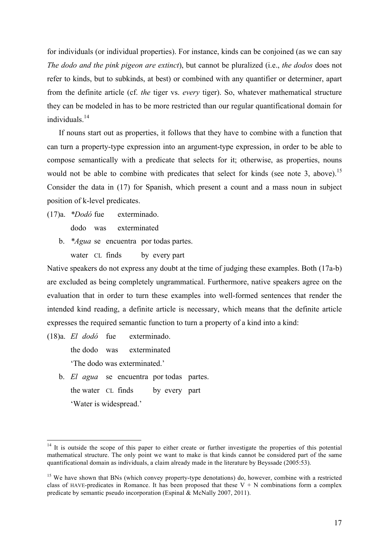for individuals (or individual properties). For instance, kinds can be conjoined (as we can say *The dodo and the pink pigeon are extinct*), but cannot be pluralized (i.e., *the dodos* does not refer to kinds, but to subkinds, at best) or combined with any quantifier or determiner, apart from the definite article (cf. *the* tiger vs. *every* tiger). So, whatever mathematical structure they can be modeled in has to be more restricted than our regular quantificational domain for individuals.<sup>14</sup>

If nouns start out as properties, it follows that they have to combine with a function that can turn a property-type expression into an argument-type expression, in order to be able to compose semantically with a predicate that selects for it; otherwise, as properties, nouns would not be able to combine with predicates that select for kinds (see note 3, above).<sup>15</sup> Consider the data in (17) for Spanish, which present a count and a mass noun in subject position of k-level predicates.

(17)a. *\*Dodó* fue exterminado.

dodo was exterminated

b. *\*Agua* se encuentra por todas partes.

water CL finds by every part

Native speakers do not express any doubt at the time of judging these examples. Both (17a-b) are excluded as being completely ungrammatical. Furthermore, native speakers agree on the evaluation that in order to turn these examples into well-formed sentences that render the intended kind reading, a definite article is necessary, which means that the definite article expresses the required semantic function to turn a property of a kind into a kind:

(18)a. *El dodó* fue exterminado.

the dodo was exterminated

'The dodo was exterminated.'

b. *El agua* se encuentra por todas partes. the water CL finds by every part 'Water is widespread.'

<sup>&</sup>lt;sup>14</sup> It is outside the scope of this paper to either create or further investigate the properties of this potential mathematical structure. The only point we want to make is that kinds cannot be considered part of the same quantificational domain as individuals, a claim already made in the literature by Beyssade (2005:53).

<sup>&</sup>lt;sup>15</sup> We have shown that BNs (which convey property-type denotations) do, however, combine with a restricted class of HAVE-predicates in Romance. It has been proposed that these  $V + N$  combinations form a complex predicate by semantic pseudo incorporation (Espinal & McNally 2007, 2011).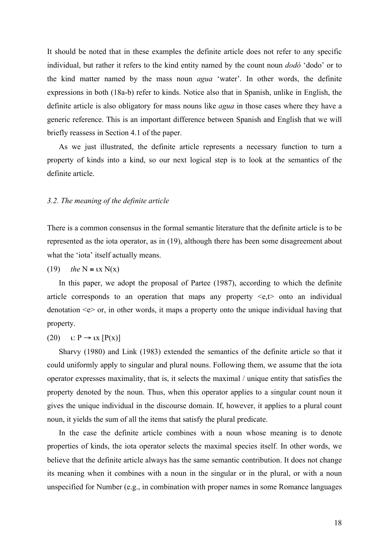It should be noted that in these examples the definite article does not refer to any specific individual, but rather it refers to the kind entity named by the count noun *dodó* 'dodo' or to the kind matter named by the mass noun *agua* 'water'. In other words, the definite expressions in both (18a-b) refer to kinds. Notice also that in Spanish, unlike in English, the definite article is also obligatory for mass nouns like *agua* in those cases where they have a generic reference. This is an important difference between Spanish and English that we will briefly reassess in Section 4.1 of the paper.

As we just illustrated, the definite article represents a necessary function to turn a property of kinds into a kind, so our next logical step is to look at the semantics of the definite article.

#### *3.2. The meaning of the definite article*

There is a common consensus in the formal semantic literature that the definite article is to be represented as the iota operator, as in (19), although there has been some disagreement about what the 'iota' itself actually means.

(19) *the* N = 
$$
\iota
$$
x N(x)

In this paper, we adopt the proposal of Partee (1987), according to which the definite article corresponds to an operation that maps any property  $\leq e, t$  onto an individual denotation  $\leq e$  or, in other words, it maps a property onto the unique individual having that property.

(20)  $\iota: P \to \iota x [P(x)]$ 

Sharvy (1980) and Link (1983) extended the semantics of the definite article so that it could uniformly apply to singular and plural nouns. Following them, we assume that the iota operator expresses maximality, that is, it selects the maximal / unique entity that satisfies the property denoted by the noun. Thus, when this operator applies to a singular count noun it gives the unique individual in the discourse domain. If, however, it applies to a plural count noun, it yields the sum of all the items that satisfy the plural predicate.

In the case the definite article combines with a noun whose meaning is to denote properties of kinds, the iota operator selects the maximal species itself. In other words, we believe that the definite article always has the same semantic contribution. It does not change its meaning when it combines with a noun in the singular or in the plural, or with a noun unspecified for Number (e.g., in combination with proper names in some Romance languages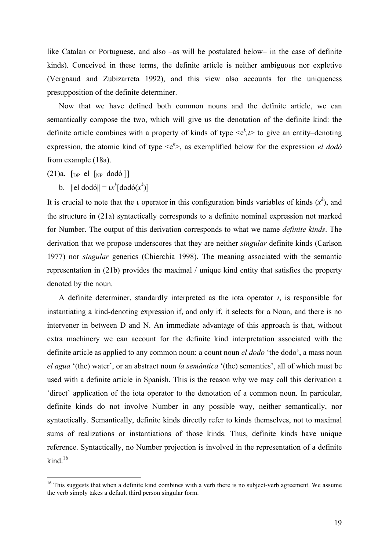like Catalan or Portuguese, and also –as will be postulated below– in the case of definite kinds). Conceived in these terms, the definite article is neither ambiguous nor expletive (Vergnaud and Zubizarreta 1992), and this view also accounts for the uniqueness presupposition of the definite determiner.

Now that we have defined both common nouns and the definite article, we can semantically compose the two, which will give us the denotation of the definite kind: the definite article combines with a property of kinds of type  $\langle e^k \rangle$  to give an entity–denoting expression, the atomic kind of type  $\langle e^{k} \rangle$ , as exemplified below for the expression *el dodó* from example (18a).

- $(21)a$ . [<sub>DP</sub> el [<sub>NP</sub> dodó ]]
	- b.  $||$ el dodó $|| = \alpha^k[\text{dodo}(x^k)]$

It is crucial to note that the *i* operator in this configuration binds variables of kinds  $(x^k)$ , and the structure in (21a) syntactically corresponds to a definite nominal expression not marked for Number. The output of this derivation corresponds to what we name *definite kinds*. The derivation that we propose underscores that they are neither *singular* definite kinds (Carlson 1977) nor *singular* generics (Chierchia 1998). The meaning associated with the semantic representation in (21b) provides the maximal / unique kind entity that satisfies the property denoted by the noun.

A definite determiner, standardly interpreted as the iota operator  $\iota$ , is responsible for instantiating a kind-denoting expression if, and only if, it selects for a Noun, and there is no intervener in between D and N. An immediate advantage of this approach is that, without extra machinery we can account for the definite kind interpretation associated with the definite article as applied to any common noun: a count noun *el dodo* 'the dodo', a mass noun *el agua* '(the) water', or an abstract noun *la semántica* '(the) semantics', all of which must be used with a definite article in Spanish. This is the reason why we may call this derivation a 'direct' application of the iota operator to the denotation of a common noun. In particular, definite kinds do not involve Number in any possible way, neither semantically, nor syntactically. Semantically, definite kinds directly refer to kinds themselves, not to maximal sums of realizations or instantiations of those kinds. Thus, definite kinds have unique reference. Syntactically, no Number projection is involved in the representation of a definite kind. 16

<sup>&</sup>lt;sup>16</sup> This suggests that when a definite kind combines with a verb there is no subject-verb agreement. We assume the verb simply takes a default third person singular form.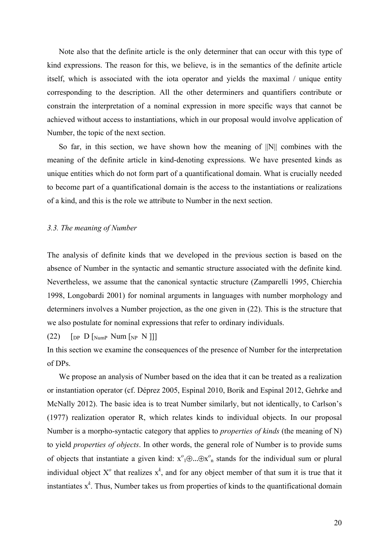Note also that the definite article is the only determiner that can occur with this type of kind expressions. The reason for this, we believe, is in the semantics of the definite article itself, which is associated with the iota operator and yields the maximal / unique entity corresponding to the description. All the other determiners and quantifiers contribute or constrain the interpretation of a nominal expression in more specific ways that cannot be achieved without access to instantiations, which in our proposal would involve application of Number, the topic of the next section.

So far, in this section, we have shown how the meaning of ||N|| combines with the meaning of the definite article in kind-denoting expressions. We have presented kinds as unique entities which do not form part of a quantificational domain. What is crucially needed to become part of a quantificational domain is the access to the instantiations or realizations of a kind, and this is the role we attribute to Number in the next section.

#### *3.3. The meaning of Number*

The analysis of definite kinds that we developed in the previous section is based on the absence of Number in the syntactic and semantic structure associated with the definite kind. Nevertheless, we assume that the canonical syntactic structure (Zamparelli 1995, Chierchia 1998, Longobardi 2001) for nominal arguments in languages with number morphology and determiners involves a Number projection, as the one given in (22). This is the structure that we also postulate for nominal expressions that refer to ordinary individuals.

(22)  $\left[\begin{array}{cc} \n\text{DP} & D \n\end{array}\right]$  Num  $\left[\begin{array}{cc} N_{\text{PP}} & N \n\end{array}\right]$ 

In this section we examine the consequences of the presence of Number for the interpretation of DPs.

We propose an analysis of Number based on the idea that it can be treated as a realization or instantiation operator (cf. Déprez 2005, Espinal 2010, Borik and Espinal 2012, Gehrke and McNally 2012). The basic idea is to treat Number similarly, but not identically, to Carlson's (1977) realization operator R, which relates kinds to individual objects. In our proposal Number is a morpho-syntactic category that applies to *properties of kinds* (the meaning of N) to yield *properties of objects*. In other words, the general role of Number is to provide sums of objects that instantiate a given kind: x*<sup>o</sup>* 1⊕…⊕x*<sup>o</sup>* <sup>n</sup> stands for the individual sum or plural individual object  $X^o$  that realizes  $x^k$ , and for any object member of that sum it is true that it instantiates x *k* . Thus, Number takes us from properties of kinds to the quantificational domain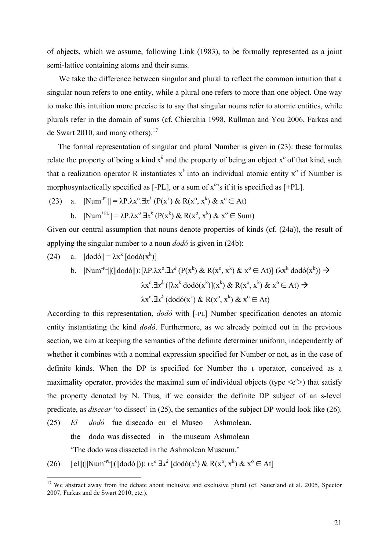of objects, which we assume, following Link (1983), to be formally represented as a joint semi-lattice containing atoms and their sums.

We take the difference between singular and plural to reflect the common intuition that a singular noun refers to one entity, while a plural one refers to more than one object. One way to make this intuition more precise is to say that singular nouns refer to atomic entities, while plurals refer in the domain of sums (cf. Chierchia 1998, Rullman and You 2006, Farkas and de Swart 2010, and many others).<sup>17</sup>

The formal representation of singular and plural Number is given in (23): these formulas relate the property of being a kind  $x^k$  and the property of being an object  $x^o$  of that kind, such that a realization operator R instantiates  $x^k$  into an individual atomic entity  $x^o$  if Number is morphosyntactically specified as [-PL], or a sum of x*<sup>o</sup>* 's if it is specified as [+PL].

- (23) a.  $\|\text{Num}^{-PL}\| = \lambda P \cdot \lambda x^{\circ} \cdot \exists x^k (P(x^k) \& R(x^{\circ}, x^k) \& x^{\circ} \in \text{At})$ 
	- b.  $\|\text{Num}^{+PL}\| = \lambda P \cdot \lambda x^{\circ} \cdot \exists x^k (P(x^k) \& R(x^{\circ}, x^k) \& x^{\circ} \in \text{Sum})$

Given our central assumption that nouns denote properties of kinds (cf. (24a)), the result of applying the singular number to a noun *dodó* is given in (24b):

(24) a. 
$$
||\text{dodó}|| = \lambda x^k [\text{dodó}(x^k)]
$$

b. 
$$
||Num^{-PL}||(||dodo||) : [\lambda P . \lambda x^{\circ} . \exists x^k (P(x^k) \& R(x^{\circ}, x^k) \& x^{\circ} \in At)] (\lambda x^k dodo(x^k)) \rightarrow \lambda x^{\circ} . \exists x^k ([\lambda x^k dodo(x^k)](x^k) \& R(x^{\circ}, x^k) \& x^{\circ} \in At) \rightarrow \lambda x^{\circ} . \exists x^k (dodo(x^k) \& R(x^{\circ}, x^k) \& x^{\circ} \in At)
$$

According to this representation, *dodó* with [-PL] Number specification denotes an atomic entity instantiating the kind *dodó*. Furthermore, as we already pointed out in the previous section, we aim at keeping the semantics of the definite determiner uniform, independently of whether it combines with a nominal expression specified for Number or not, as in the case of definite kinds. When the DP is specified for Number the ι operator, conceived as a maximality operator, provides the maximal sum of individual objects (type  $\langle e^{\circ} \rangle$ ) that satisfy the property denoted by N. Thus, if we consider the definite DP subject of an s-level predicate, as *disecar* 'to dissect' in (25), the semantics of the subject DP would look like (26).

- (25) *El dodó* fue disecado en el Museo Ashmolean. the dodo was dissected in the museum Ashmolean 'The dodo was dissected in the Ashmolean Museum.'
- (26)  $||e||(||Num<sup>-PL</sup>||(||dodo||))$ : *ιx*<sup>*o*</sup> ∃*x*<sup>*k*</sup> [dodó(*x<sup><i>k*</sup>) & R(*x*<sup>o</sup>, *x*<sup>*k*</sup>) & *x*<sup>o</sup> ∈ At]

<sup>&</sup>lt;sup>17</sup> We abstract away from the debate about inclusive and exclusive plural (cf. Sauerland et al. 2005, Spector 2007, Farkas and de Swart 2010, etc.).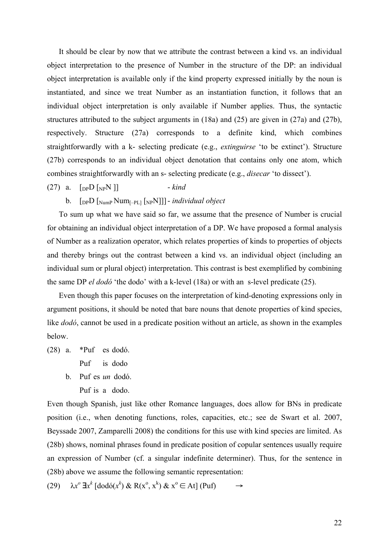It should be clear by now that we attribute the contrast between a kind vs. an individual object interpretation to the presence of Number in the structure of the DP: an individual object interpretation is available only if the kind property expressed initially by the noun is instantiated, and since we treat Number as an instantiation function, it follows that an individual object interpretation is only available if Number applies. Thus, the syntactic structures attributed to the subject arguments in (18a) and (25) are given in (27a) and (27b), respectively. Structure (27a) corresponds to a definite kind, which combines straightforwardly with a k- selecting predicate (e.g., *extinguirse* 'to be extinct'). Structure (27b) corresponds to an individual object denotation that contains only one atom, which combines straightforwardly with an s- selecting predicate (e.g., *disecar* 'to dissect').

- $(27)$  a.  $[_{DP}D [_{NP}N]]$  *kind* 
	- b. [DPD [NumP Num[–PL] [NPN]]]- *individual object*

To sum up what we have said so far, we assume that the presence of Number is crucial for obtaining an individual object interpretation of a DP. We have proposed a formal analysis of Number as a realization operator, which relates properties of kinds to properties of objects and thereby brings out the contrast between a kind vs. an individual object (including an individual sum or plural object) interpretation. This contrast is best exemplified by combining the same DP *el dodó* 'the dodo' with a k-level (18a) or with an s-level predicate (25).

Even though this paper focuses on the interpretation of kind-denoting expressions only in argument positions, it should be noted that bare nouns that denote properties of kind species, like *dodó*, cannot be used in a predicate position without an article, as shown in the examples below.

(28) a. \*Puf es dodó. Puf is dodo b. Puf es *un* dodó. Puf is a dodo.

Even though Spanish, just like other Romance languages, does allow for BNs in predicate position (i.e., when denoting functions, roles, capacities, etc.; see de Swart et al. 2007, Beyssade 2007, Zamparelli 2008) the conditions for this use with kind species are limited. As (28b) shows, nominal phrases found in predicate position of copular sentences usually require an expression of Number (cf. a singular indefinite determiner). Thus, for the sentence in (28b) above we assume the following semantic representation:

 $(29)$ *o* ∃*x*<sup>*k*</sup> [dodó(*x<sup><i>k*</sup>) & R(x<sup>o</sup>, x<sup>k</sup>) & x<sup>o</sup> ∈ At] (Puf) →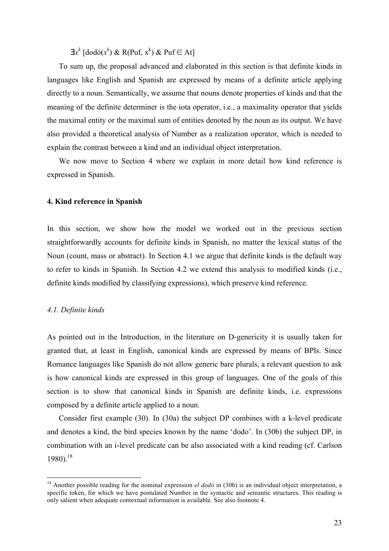$\exists x^k \left[ \text{dodd}(x^k) \& R(\text{Puf}, x^k) \& \text{Puf} \in \mathcal{A}t \right]$ 

To sum up, the proposal advanced and elaborated in this section is that definite kinds in languages like English and Spanish are expressed by means of a definite article applying directly to a noun. Semantically, we assume that nouns denote properties of kinds and that the meaning of the definite determiner is the iota operator, i.e., a maximality operator that yields the maximal entity or the maximal sum of entities denoted by the noun as its output. We have also provided a theoretical analysis of Number as a realization operator, which is needed to explain the contrast between a kind and an individual object interpretation.

We now move to Section 4 where we explain in more detail how kind reference is expressed in Spanish.

## **4. Kind reference in Spanish**

In this section, we show how the model we worked out in the previous section straightforwardly accounts for definite kinds in Spanish, no matter the lexical status of the Noun (count, mass or abstract). In Section 4.1 we argue that definite kinds is the default way to refer to kinds in Spanish. In Section 4.2 we extend this analysis to modified kinds (i.e., definite kinds modified by classifying expressions), which preserve kind reference.

#### *4.1. Definite kinds*

As pointed out in the Introduction, in the literature on D-genericity it is usually taken for granted that, at least in English, canonical kinds are expressed by means of BPls. Since Romance languages like Spanish do not allow generic bare plurals, a relevant question to ask is how canonical kinds are expressed in this group of languages. One of the goals of this section is to show that canonical kinds in Spanish are definite kinds, i.e. expressions composed by a definite article applied to a noun.

Consider first example (30). In (30a) the subject DP combines with a k-level predicate and denotes a kind, the bird species known by the name 'dodo'. In (30b) the subject DP, in combination with an i-level predicate can be also associated with a kind reading (cf. Carlson 1980). 18

<sup>&</sup>lt;sup>18</sup> Another possible reading for the nominal expression *el dodó* in (30b) is an individual object interpretation, a specific token, for which we have postulated Number in the syntactic and semantic structures. This reading is only salient when adequate contextual information is available. See also footnote 4.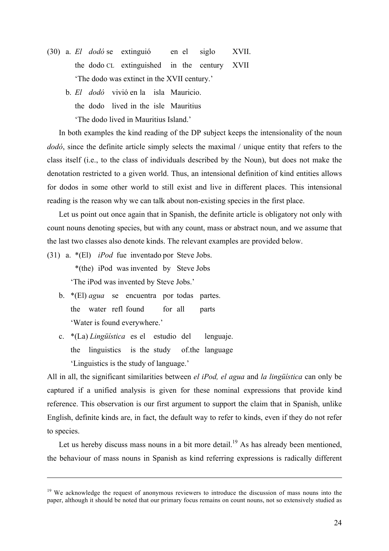- (30) a. *El dodó* se extinguió en el siglo XVII. the dodo CL extinguished in the century XVII 'The dodo was extinct in the XVII century.'
	- b. *El dodó* vivió en la isla Mauricio. the dodo lived in the isle Mauritius 'The dodo lived in Mauritius Island.'

In both examples the kind reading of the DP subject keeps the intensionality of the noun *dodó*, since the definite article simply selects the maximal / unique entity that refers to the class itself (i.e., to the class of individuals described by the Noun), but does not make the denotation restricted to a given world. Thus, an intensional definition of kind entities allows for dodos in some other world to still exist and live in different places. This intensional reading is the reason why we can talk about non-existing species in the first place.

Let us point out once again that in Spanish, the definite article is obligatory not only with count nouns denoting species, but with any count, mass or abstract noun, and we assume that the last two classes also denote kinds. The relevant examples are provided below.

(31) a. \*(El) *iPod* fue inventado por Steve Jobs.

\*(the) iPod was invented by Steve Jobs 'The iPod was invented by Steve Jobs.'

- b. \*(El) *agua* se encuentra por todas partes. the water refl found for all parts 'Water is found everywhere.'
- c. \*(La) *Lingüística* es el estudio del lenguaje. the linguistics is the study of.the language 'Linguistics is the study of language.'

All in all, the significant similarities between *el iPod, el agua* and *la lingüística* can only be captured if a unified analysis is given for these nominal expressions that provide kind reference. This observation is our first argument to support the claim that in Spanish, unlike English, definite kinds are, in fact, the default way to refer to kinds, even if they do not refer to species.

Let us hereby discuss mass nouns in a bit more detail.<sup>19</sup> As has already been mentioned, the behaviour of mass nouns in Spanish as kind referring expressions is radically different

<u> 1989 - Andrea Santa Andrea Andrea Andrea Andrea Andrea Andrea Andrea Andrea Andrea Andrea Andrea Andrea Andr</u>

<sup>&</sup>lt;sup>19</sup> We acknowledge the request of anonymous reviewers to introduce the discussion of mass nouns into the paper, although it should be noted that our primary focus remains on count nouns, not so extensively studied as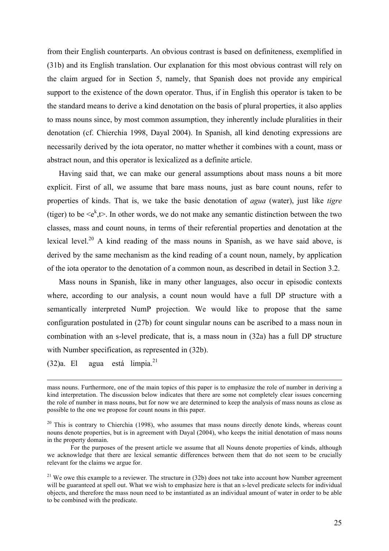from their English counterparts. An obvious contrast is based on definiteness, exemplified in (31b) and its English translation. Our explanation for this most obvious contrast will rely on the claim argued for in Section 5, namely, that Spanish does not provide any empirical support to the existence of the down operator. Thus, if in English this operator is taken to be the standard means to derive a kind denotation on the basis of plural properties, it also applies to mass nouns since, by most common assumption, they inherently include pluralities in their denotation (cf. Chierchia 1998, Dayal 2004). In Spanish, all kind denoting expressions are necessarily derived by the iota operator, no matter whether it combines with a count, mass or abstract noun, and this operator is lexicalized as a definite article.

Having said that, we can make our general assumptions about mass nouns a bit more explicit. First of all, we assume that bare mass nouns, just as bare count nouns, refer to properties of kinds. That is, we take the basic denotation of *agua* (water), just like *tigre*  (tiger) to be  $\langle e^k, t \rangle$ . In other words, we do not make any semantic distinction between the two classes, mass and count nouns, in terms of their referential properties and denotation at the lexical level.<sup>20</sup> A kind reading of the mass nouns in Spanish, as we have said above, is derived by the same mechanism as the kind reading of a count noun, namely, by application of the iota operator to the denotation of a common noun, as described in detail in Section 3.2.

Mass nouns in Spanish, like in many other languages, also occur in episodic contexts where, according to our analysis, a count noun would have a full DP structure with a semantically interpreted NumP projection. We would like to propose that the same configuration postulated in (27b) for count singular nouns can be ascribed to a mass noun in combination with an s-level predicate, that is, a mass noun in (32a) has a full DP structure with Number specification, as represented in (32b).

 $(32)a$ . El agua está limpia.<sup>21</sup>

<u> 1989 - Andrea Santa Andrea Andrea Andrea Andrea Andrea Andrea Andrea Andrea Andrea Andrea Andrea Andrea Andr</u>

mass nouns. Furthermore, one of the main topics of this paper is to emphasize the role of number in deriving a kind interpretation. The discussion below indicates that there are some not completely clear issues concerning the role of number in mass nouns, but for now we are determined to keep the analysis of mass nouns as close as possible to the one we propose for count nouns in this paper.

 $20$  This is contrary to Chierchia (1998), who assumes that mass nouns directly denote kinds, whereas count nouns denote properties, but is in agreement with Dayal (2004), who keeps the initial denotation of mass nouns in the property domain.

For the purposes of the present article we assume that all Nouns denote properties of kinds, although we acknowledge that there are lexical semantic differences between them that do not seem to be crucially relevant for the claims we argue for.

 $21$  We owe this example to a reviewer. The structure in (32b) does not take into account how Number agreement will be guaranteed at spell out. What we wish to emphasize here is that an s-level predicate selects for individual objects, and therefore the mass noun need to be instantiated as an individual amount of water in order to be able to be combined with the predicate.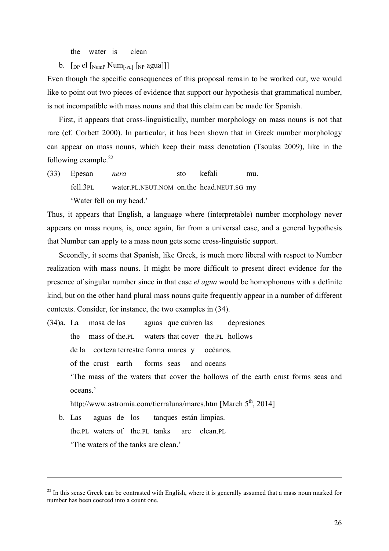the water is clean

b.  $[pP] \left[\text{Num}_P \text{Num}_{[-PL]} \left[\text{NP} \text{agua} \right]\right]$ 

Even though the specific consequences of this proposal remain to be worked out, we would like to point out two pieces of evidence that support our hypothesis that grammatical number, is not incompatible with mass nouns and that this claim can be made for Spanish.

First, it appears that cross-linguistically, number morphology on mass nouns is not that rare (cf. Corbett 2000). In particular, it has been shown that in Greek number morphology can appear on mass nouns, which keep their mass denotation (Tsoulas 2009), like in the following example.<sup>22</sup>

(33) Epesan *nera* sto kefali mu. fell.3PL water.PL.NEUT.NOM on.the head.NEUT.SG my 'Water fell on my head.'

Thus, it appears that English, a language where (interpretable) number morphology never appears on mass nouns, is, once again, far from a universal case, and a general hypothesis that Number can apply to a mass noun gets some cross-linguistic support.

Secondly, it seems that Spanish, like Greek, is much more liberal with respect to Number realization with mass nouns. It might be more difficult to present direct evidence for the presence of singular number since in that case *el agua* would be homophonous with a definite kind, but on the other hand plural mass nouns quite frequently appear in a number of different contexts. Consider, for instance, the two examples in (34).

(34)a. La masa de las aguas que cubren las depresiones the mass of the PL waters that cover the PL hollows de la corteza terrestre forma mares y océanos. of the crust earth forms seas and oceans 'The mass of the waters that cover the hollows of the earth crust forms seas and oceans.' http://www.astromia.com/tierraluna/mares.htm [March  $5<sup>th</sup>$ , 2014]

b. Las aguas de los tanques están limpias. the.PL waters of the.PL tanks are clean.PL 'The waters of the tanks are clean.'

<u> 1989 - Andrea Santa Andrea Andrea Andrea Andrea Andrea Andrea Andrea Andrea Andrea Andrea Andrea Andrea Andr</u>

 $22$  In this sense Greek can be contrasted with English, where it is generally assumed that a mass noun marked for number has been coerced into a count one.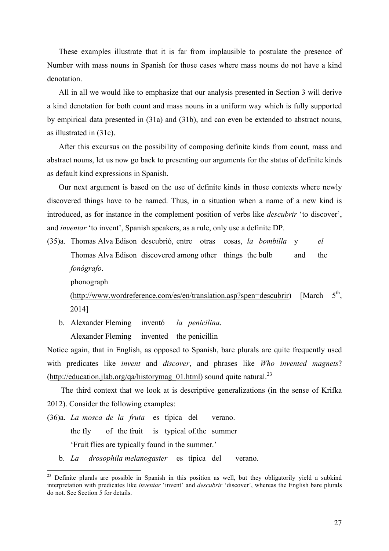These examples illustrate that it is far from implausible to postulate the presence of Number with mass nouns in Spanish for those cases where mass nouns do not have a kind denotation.

All in all we would like to emphasize that our analysis presented in Section 3 will derive a kind denotation for both count and mass nouns in a uniform way which is fully supported by empirical data presented in (31a) and (31b), and can even be extended to abstract nouns, as illustrated in (31c).

After this excursus on the possibility of composing definite kinds from count, mass and abstract nouns, let us now go back to presenting our arguments for the status of definite kinds as default kind expressions in Spanish.

Our next argument is based on the use of definite kinds in those contexts where newly discovered things have to be named. Thus, in a situation when a name of a new kind is introduced, as for instance in the complement position of verbs like *descubrir* 'to discover', and *inventar* 'to invent', Spanish speakers, as a rule, only use a definite DP.

(35)a. Thomas Alva Edison descubrió, entre otras cosas, *la bombilla* y *el*  Thomas Alva Edison discovered among other things the bulb and the *fonógrafo*.

phonograph

 $(\frac{http://www.wordreference.com/es/en/translation.asp?open=descubrir})$  [March 5<sup>th</sup>, 2014]

b. Alexander Fleming inventó *la penicilina*.

Alexander Fleming invented the penicillin

Notice again, that in English, as opposed to Spanish, bare plurals are quite frequently used with predicates like *invent* and *discover*, and phrases like *Who invented magnets*? (http://education.jlab.org/qa/historymag\_01.html) sound quite natural.<sup>23</sup>

The third context that we look at is descriptive generalizations (in the sense of Krifka 2012). Consider the following examples:

- (36)a. *La mosca de la fruta* es típica del verano. the fly of the fruit is typical of.the summer 'Fruit flies are typically found in the summer.'
	- b. *La drosophila melanogaster* es típica del verano.

<sup>&</sup>lt;sup>23</sup> Definite plurals are possible in Spanish in this position as well, but they obligatorily yield a subkind interpretation with predicates like *inventar* 'invent' and *descubrir* 'discover', whereas the English bare plurals do not. See Section 5 for details.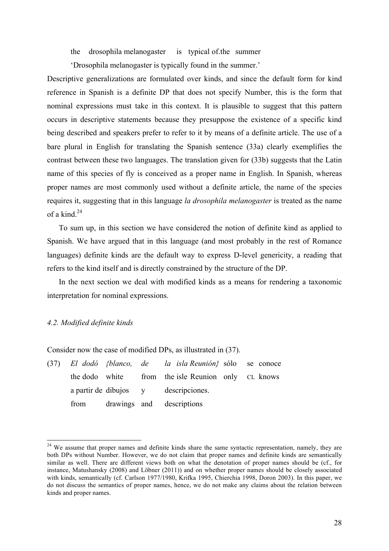the drosophila melanogaster is typical of.the summer

'Drosophila melanogaster is typically found in the summer.'

Descriptive generalizations are formulated over kinds, and since the default form for kind reference in Spanish is a definite DP that does not specify Number, this is the form that nominal expressions must take in this context. It is plausible to suggest that this pattern occurs in descriptive statements because they presuppose the existence of a specific kind being described and speakers prefer to refer to it by means of a definite article. The use of a bare plural in English for translating the Spanish sentence (33a) clearly exemplifies the contrast between these two languages. The translation given for (33b) suggests that the Latin name of this species of fly is conceived as a proper name in English. In Spanish, whereas proper names are most commonly used without a definite article, the name of the species requires it, suggesting that in this language *la drosophila melanogaster* is treated as the name of a kind. $^{24}$ 

To sum up, in this section we have considered the notion of definite kind as applied to Spanish. We have argued that in this language (and most probably in the rest of Romance languages) definite kinds are the default way to express D-level genericity, a reading that refers to the kind itself and is directly constrained by the structure of the DP.

In the next section we deal with modified kinds as a means for rendering a taxonomic interpretation for nominal expressions.

## *4.2. Modified definite kinds*

Consider now the case of modified DPs, as illustrated in (37).

|  |  | $(37)$ El dodó {blanco, de la isla Reunión} sólo se conoce |  |
|--|--|------------------------------------------------------------|--|
|  |  | the dodo white from the isle Reunion only CL knows         |  |
|  |  | a partir de dibujos y descripciones.                       |  |
|  |  | from drawings and descriptions                             |  |

<sup>&</sup>lt;sup>24</sup> We assume that proper names and definite kinds share the same syntactic representation, namely, they are both DPs without Number. However, we do not claim that proper names and definite kinds are semantically similar as well. There are different views both on what the denotation of proper names should be (cf., for instance, Matushansky (2008) and Löbner (2011)) and on whether proper names should be closely associated with kinds, semantically (cf. Carlson 1977/1980, Krifka 1995, Chierchia 1998, Doron 2003). In this paper, we do not discuss the semantics of proper names, hence, we do not make any claims about the relation between kinds and proper names.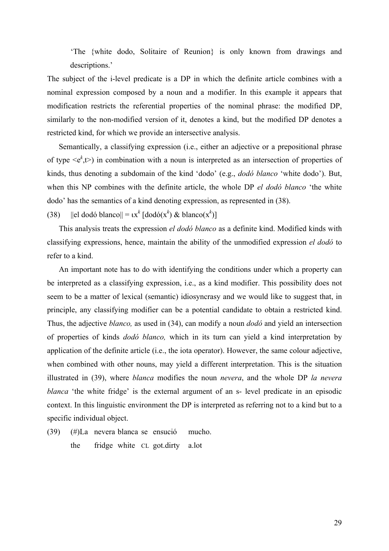'The {white dodo, Solitaire of Reunion} is only known from drawings and descriptions.'

The subject of the i-level predicate is a DP in which the definite article combines with a nominal expression composed by a noun and a modifier. In this example it appears that modification restricts the referential properties of the nominal phrase: the modified DP, similarly to the non-modified version of it, denotes a kind, but the modified DP denotes a restricted kind, for which we provide an intersective analysis.

Semantically, a classifying expression (i.e., either an adjective or a prepositional phrase of type  $\langle e^k,t\rangle$  in combination with a noun is interpreted as an intersection of properties of kinds, thus denoting a subdomain of the kind 'dodo' (e.g., *dodó blanco* 'white dodo'). But, when this NP combines with the definite article, the whole DP *el dodó blanco* 'the white dodo' has the semantics of a kind denoting expression, as represented in (38).

(38)  $||$ el dodó blanco $|| = \mathbf{tx}^k$  [dodó( $\mathbf{x}^k$ ) & blanco( $\mathbf{x}^k$ )]

This analysis treats the expression *el dodó blanco* as a definite kind. Modified kinds with classifying expressions, hence, maintain the ability of the unmodified expression *el dodó* to refer to a kind.

An important note has to do with identifying the conditions under which a property can be interpreted as a classifying expression, i.e., as a kind modifier. This possibility does not seem to be a matter of lexical (semantic) idiosyncrasy and we would like to suggest that, in principle, any classifying modifier can be a potential candidate to obtain a restricted kind. Thus, the adjective *blanco,* as used in (34), can modify a noun *dodó* and yield an intersection of properties of kinds *dodó blanco,* which in its turn can yield a kind interpretation by application of the definite article (i.e., the iota operator). However, the same colour adjective, when combined with other nouns, may yield a different interpretation. This is the situation illustrated in (39), where *blanca* modifies the noun *nevera*, and the whole DP *la nevera blanca* 'the white fridge' is the external argument of an s- level predicate in an episodic context. In this linguistic environment the DP is interpreted as referring not to a kind but to a specific individual object.

(39) (#)La nevera blanca se ensució mucho. the fridge white CL got.dirty a.lot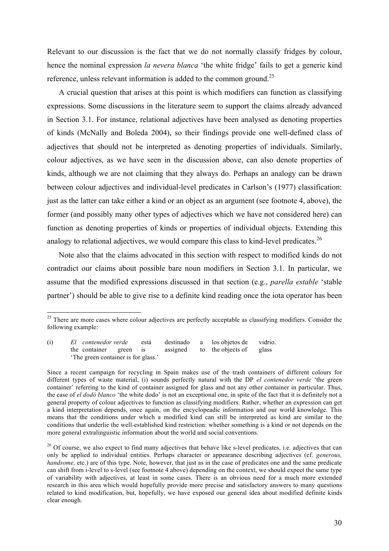Relevant to our discussion is the fact that we do not normally classify fridges by colour, hence the nominal expression *la nevera blanca* 'the white fridge' fails to get a generic kind reference, unless relevant information is added to the common ground.<sup>25</sup>

A crucial question that arises at this point is which modifiers can function as classifying expressions. Some discussions in the literature seem to support the claims already advanced in Section 3.1. For instance, relational adjectives have been analysed as denoting properties of kinds (McNally and Boleda 2004), so their findings provide one well-defined class of adjectives that should not be interpreted as denoting properties of individuals. Similarly, colour adjectives, as we have seen in the discussion above, can also denote properties of kinds, although we are not claiming that they always do. Perhaps an analogy can be drawn between colour adjectives and individual-level predicates in Carlson's (1977) classification: just as the latter can take either a kind or an object as an argument (see footnote 4, above), the former (and possibly many other types of adjectives which we have not considered here) can function as denoting properties of kinds or properties of individual objects. Extending this analogy to relational adjectives, we would compare this class to kind-level predicates.<sup>26</sup>

Note also that the claims advocated in this section with respect to modified kinds do not contradict our claims about possible bare noun modifiers in Section 3.1. In particular, we assume that the modified expressions discussed in that section (e.g., *parella estable* 'stable partner') should be able to give rise to a definite kind reading once the iota operator has been

<sup>&</sup>lt;sup>25</sup> There are more cases where colour adjectives are perfectly acceptable as classifying modifiers. Consider the following example:

<sup>(</sup>i) *El contenedor verde* está destinado a los objetos de vidrio. the container green is assigned to the objects of glass 'The green container is for glass.'

Since a recent campaign for recycling in Spain makes use of the trash containers of different colours for different types of waste material, (i) sounds perfectly natural with the DP *el contenedor verde* 'the green container' referring to the kind of container assigned for glass and not any other container in particular. Thus, the case of *el dodó blanco* 'the white dodo' is not an exceptional one, in spite of the fact that it is definitely not a general property of colour adjectives to function as classifying modifiers. Rather, whether an expression can get a kind interpretation depends, once again, on the encyclopeadic information and our world knowledge. This means that the conditions under which a modified kind can still be interpreted as kind are similar to the conditions that underlie the well-established kind restriction: whether something is a kind or not depends on the more general extralinguistic information about the world and social conventions.

<sup>&</sup>lt;sup>26</sup> Of course, we also expect to find many adjectives that behave like s-level predicates, i.e. adjectives that can only be applied to individual entities. Perhaps character or appearance describing adjectives (cf. *generous, handsome*, etc.) are of this type. Note, however, that just as in the case of predicates one and the same predicate can shift from i-level to s-level (see footnote 4 above) depending on the context, we should expect the same type of variability with adjectives, at least in some cases. There is an obvious need for a much more extended research in this area which would hopefully provide more precise and satisfactory answers to many questions related to kind modification, but, hopefully, we have exposed our general idea about modified definite kinds clear enough.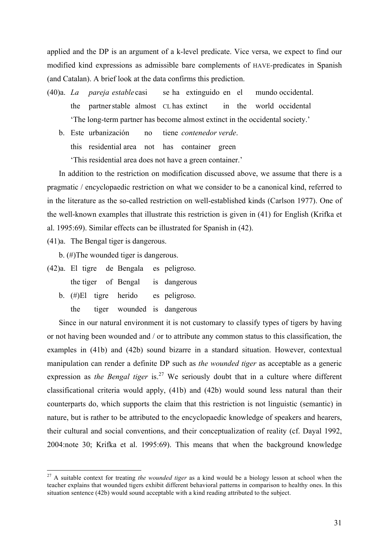applied and the DP is an argument of a k-level predicate. Vice versa, we expect to find our modified kind expressions as admissible bare complements of HAVE*-*predicates in Spanish (and Catalan). A brief look at the data confirms this prediction.

- (40)a. *La pareja estable* casi se ha extinguido en el mundo occidental. the partnerstable almost CL has extinct in the world occidental 'The long-term partner has become almost extinct in the occidental society.'
	- b. Este urbanización no tiene *contenedor verde*. this residential area not has container green 'This residential area does not have a green container.'

In addition to the restriction on modification discussed above, we assume that there is a pragmatic / encyclopaedic restriction on what we consider to be a canonical kind, referred to in the literature as the so-called restriction on well-established kinds (Carlson 1977). One of the well-known examples that illustrate this restriction is given in (41) for English (Krifka et al. 1995:69). Similar effects can be illustrated for Spanish in (42).

(41)a. The Bengal tiger is dangerous.

b. (#)The wounded tiger is dangerous.

- (42)a. El tigre de Bengala es peligroso.
	- the tiger of Bengal is dangerous
	- b. (#)El tigre herido es peligroso.
		- the tiger wounded is dangerous

Since in our natural environment it is not customary to classify types of tigers by having or not having been wounded and / or to attribute any common status to this classification, the examples in (41b) and (42b) sound bizarre in a standard situation. However, contextual manipulation can render a definite DP such as *the wounded tiger* as acceptable as a generic expression as *the Bengal tiger* is.<sup>27</sup> We seriously doubt that in a culture where different classificational criteria would apply, (41b) and (42b) would sound less natural than their counterparts do, which supports the claim that this restriction is not linguistic (semantic) in nature, but is rather to be attributed to the encyclopaedic knowledge of speakers and hearers, their cultural and social conventions, and their conceptualization of reality (cf. Dayal 1992, 2004:note 30; Krifka et al. 1995:69). This means that when the background knowledge

 <sup>27</sup> A suitable context for treating *the wounded tiger* as a kind would be a biology lesson at school when the teacher explains that wounded tigers exhibit different behavioral patterns in comparison to healthy ones. In this situation sentence (42b) would sound acceptable with a kind reading attributed to the subject.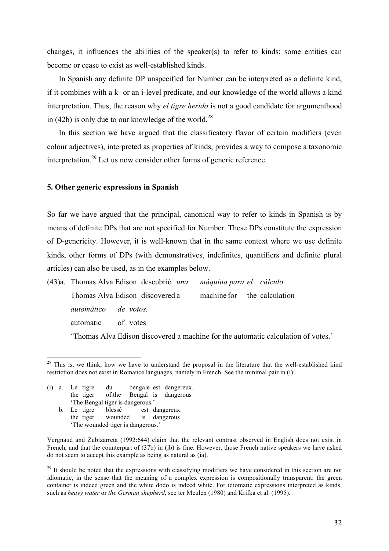changes, it influences the abilities of the speaker(s) to refer to kinds: some entities can become or cease to exist as well-established kinds.

In Spanish any definite DP unspecified for Number can be interpreted as a definite kind, if it combines with a k- or an i-level predicate, and our knowledge of the world allows a kind interpretation. Thus, the reason why *el tigre herido* is not a good candidate for argumenthood in (42b) is only due to our knowledge of the world.<sup>28</sup>

In this section we have argued that the classificatory flavor of certain modifiers (even colour adjectives), interpreted as properties of kinds, provides a way to compose a taxonomic interpretation.<sup>29</sup> Let us now consider other forms of generic reference.

## **5. Other generic expressions in Spanish**

So far we have argued that the principal, canonical way to refer to kinds in Spanish is by means of definite DPs that are not specified for Number. These DPs constitute the expression of D-genericity. However, it is well-known that in the same context where we use definite kinds, other forms of DPs (with demonstratives, indefinites, quantifiers and definite plural articles) can also be used, as in the examples below.

(43)a. Thomas Alva Edison descubrió *una máquina para el cálculo*  Thomas Alva Edison discovered a machine for the calculation *automático de votos.* automatic of votes 'Thomas Alva Edison discovered a machine for the automatic calculation of votes.'

- (i) a. Le tigre du bengale est dangereux. the tiger of.the Bengal is dangerous 'The Bengal tiger is dangerous.'<br>b. Le tigre blessé est d blessé est dangereux.
	- the tiger wounded is dangerous 'The wounded tiger is dangerous.'

Vergnaud and Zubizarreta (1992:644) claim that the relevant contrast observed in English does not exist in French, and that the counterpart of (37b) in (ib) is fine. However, those French native speakers we have asked do not seem to accept this example as being as natural as (ia).

<sup>29</sup> It should be noted that the expressions with classifying modifiers we have considered in this section are not idiomatic, in the sense that the meaning of a complex expression is compositionally transparent: the green container is indeed green and the white dodo is indeed white. For idiomatic expressions interpreted as kinds, such as *heavy water* or *the German shepherd*, see ter Meulen (1980) and Krifka et al. (1995).

<sup>&</sup>lt;sup>28</sup> This is, we think, how we have to understand the proposal in the literature that the well-established kind restriction does not exist in Romance languages, namely in French. See the minimal pair in (i):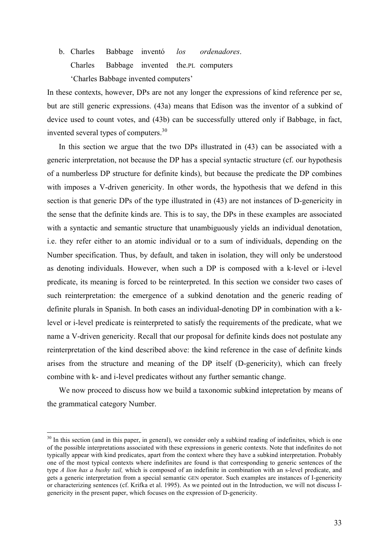b. Charles Babbage inventó *los ordenadores*. Charles Babbage invented the.PL computers 'Charles Babbage invented computers'

In these contexts, however, DPs are not any longer the expressions of kind reference per se, but are still generic expressions. (43a) means that Edison was the inventor of a subkind of device used to count votes, and (43b) can be successfully uttered only if Babbage, in fact, invented several types of computers.<sup>30</sup>

In this section we argue that the two DPs illustrated in (43) can be associated with a generic interpretation, not because the DP has a special syntactic structure (cf. our hypothesis of a numberless DP structure for definite kinds), but because the predicate the DP combines with imposes a V-driven genericity. In other words, the hypothesis that we defend in this section is that generic DPs of the type illustrated in (43) are not instances of D-genericity in the sense that the definite kinds are. This is to say, the DPs in these examples are associated with a syntactic and semantic structure that unambiguously yields an individual denotation, i.e. they refer either to an atomic individual or to a sum of individuals, depending on the Number specification. Thus, by default, and taken in isolation, they will only be understood as denoting individuals. However, when such a DP is composed with a k-level or i-level predicate, its meaning is forced to be reinterpreted. In this section we consider two cases of such reinterpretation: the emergence of a subkind denotation and the generic reading of definite plurals in Spanish. In both cases an individual-denoting DP in combination with a klevel or i-level predicate is reinterpreted to satisfy the requirements of the predicate, what we name a V-driven genericity. Recall that our proposal for definite kinds does not postulate any reinterpretation of the kind described above: the kind reference in the case of definite kinds arises from the structure and meaning of the DP itself (D-genericity), which can freely combine with k- and i-level predicates without any further semantic change.

We now proceed to discuss how we build a taxonomic subkind intepretation by means of the grammatical category Number.

 $30$  In this section (and in this paper, in general), we consider only a subkind reading of indefinites, which is one of the possible interpretations associated with these expressions in generic contexts. Note that indefinites do not typically appear with kind predicates, apart from the context where they have a subkind interpretation. Probably one of the most typical contexts where indefinites are found is that corresponding to generic sentences of the type *A lion has a bushy tail,* which is composed of an indefinite in combination with an s-level predicate, and gets a generic interpretation from a special semantic GEN operator. Such examples are instances of I-genericity or characterizing sentences (cf. Krifka et al. 1995). As we pointed out in the Introduction, we will not discuss Igenericity in the present paper, which focuses on the expression of D-genericity.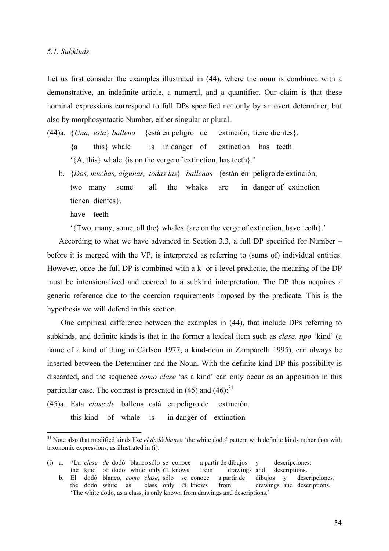Let us first consider the examples illustrated in (44), where the noun is combined with a demonstrative, an indefinite article, a numeral, and a quantifier. Our claim is that these nominal expressions correspond to full DPs specified not only by an overt determiner, but also by morphosyntactic Number, either singular or plural.

(44)a. {*Una, esta*} *ballena* {está en peligro de extinción, tiene dientes}.

{a this} whale is in danger of extinction has teeth '{A, this} whale {is on the verge of extinction, has teeth}.'

b. {*Dos, muchas, algunas, todas las*} *ballenas* {están en peligro de extinción, two many some all the whales are in danger of extinction tienen dientes}.

have teeth

'{Two, many, some, all the} whales {are on the verge of extinction, have teeth}.'

According to what we have advanced in Section 3.3, a full DP specified for Number – before it is merged with the VP, is interpreted as referring to (sums of) individual entities. However, once the full DP is combined with a k- or i-level predicate, the meaning of the DP must be intensionalized and coerced to a subkind interpretation. The DP thus acquires a generic reference due to the coercion requirements imposed by the predicate. This is the hypothesis we will defend in this section.

One empirical difference between the examples in (44), that include DPs referring to subkinds, and definite kinds is that in the former a lexical item such as *clase, tipo* 'kind' (a name of a kind of thing in Carlson 1977, a kind-noun in Zamparelli 1995), can always be inserted between the Determiner and the Noun. With the definite kind DP this possibility is discarded, and the sequence *como clase* 'as a kind' can only occur as an apposition in this particular case. The contrast is presented in  $(45)$  and  $(46)$ :<sup>31</sup>

(45)a. Esta *clase de* ballena está en peligro de extinción.

this kind of whale is in danger of extinction

<sup>&</sup>lt;sup>31</sup> Note also that modified kinds like *el dodó blanco* 'the white dodo' pattern with definite kinds rather than with taxonomic expressions, as illustrated in (i).

<sup>(</sup>i) a. \*La *clase de* dodó blanco sólo se conoce a partir de dibujos y descripciones. the kind of dodo white only CL knows from drawings and descriptions.<br>El dodó blanco, *como clase*, sólo se conoce a partir de dibuios v desc

b. El dodó blanco, *como clase*, sólo se conoce a partir de dibujos y descripciones. the dodo white as class only CL knows from drawings and descriptions. 'The white dodo, as a class, is only known from drawings and descriptions.'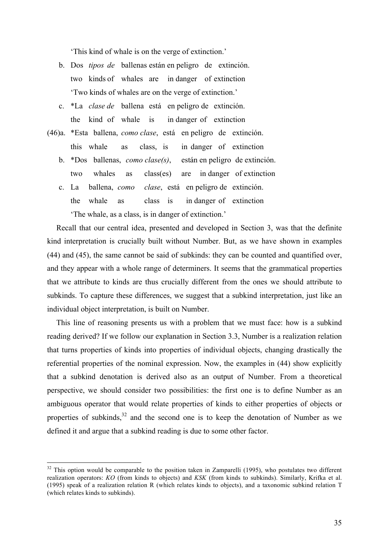'This kind of whale is on the verge of extinction.'

- b. Dos *tipos de* ballenas están en peligro de extinción. two kinds of whales are in danger of extinction 'Two kinds of whales are on the verge of extinction.'
- c. \*La *clase de* ballena está en peligro de extinción. the kind of whale is in danger of extinction
- (46)a. \*Esta ballena, *como clase*, está en peligro de extinción. this whale as class, is in danger of extinction
	- b. \*Dos ballenas, *como clase(s)*, están en peligro de extinción. two whales as class(es) are in danger of extinction c. La ballena, *como clase*, está en peligro de extinción.
	- the whale as class is in danger of extinction 'The whale, as a class, is in danger of extinction.'

Recall that our central idea, presented and developed in Section 3, was that the definite kind interpretation is crucially built without Number. But, as we have shown in examples (44) and (45), the same cannot be said of subkinds: they can be counted and quantified over, and they appear with a whole range of determiners. It seems that the grammatical properties that we attribute to kinds are thus crucially different from the ones we should attribute to subkinds. To capture these differences, we suggest that a subkind interpretation, just like an individual object interpretation, is built on Number.

This line of reasoning presents us with a problem that we must face: how is a subkind reading derived? If we follow our explanation in Section 3.3, Number is a realization relation that turns properties of kinds into properties of individual objects, changing drastically the referential properties of the nominal expression. Now, the examples in (44) show explicitly that a subkind denotation is derived also as an output of Number. From a theoretical perspective, we should consider two possibilities: the first one is to define Number as an ambiguous operator that would relate properties of kinds to either properties of objects or properties of subkinds, $32$  and the second one is to keep the denotation of Number as we defined it and argue that a subkind reading is due to some other factor.

 $32$  This option would be comparable to the position taken in Zamparelli (1995), who postulates two different realization operators: *KO* (from kinds to objects) and *KSK* (from kinds to subkinds). Similarly, Krifka et al. (1995) speak of a realization relation R (which relates kinds to objects), and a taxonomic subkind relation T (which relates kinds to subkinds).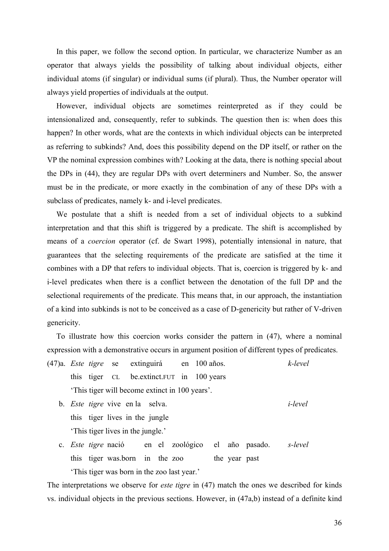In this paper, we follow the second option. In particular, we characterize Number as an operator that always yields the possibility of talking about individual objects, either individual atoms (if singular) or individual sums (if plural). Thus, the Number operator will always yield properties of individuals at the output.

However, individual objects are sometimes reinterpreted as if they could be intensionalized and, consequently, refer to subkinds. The question then is: when does this happen? In other words, what are the contexts in which individual objects can be interpreted as referring to subkinds? And, does this possibility depend on the DP itself, or rather on the VP the nominal expression combines with? Looking at the data, there is nothing special about the DPs in (44), they are regular DPs with overt determiners and Number. So, the answer must be in the predicate, or more exactly in the combination of any of these DPs with a subclass of predicates, namely k- and i-level predicates.

We postulate that a shift is needed from a set of individual objects to a subkind interpretation and that this shift is triggered by a predicate. The shift is accomplished by means of a *coercion* operator (cf. de Swart 1998), potentially intensional in nature, that guarantees that the selecting requirements of the predicate are satisfied at the time it combines with a DP that refers to individual objects. That is, coercion is triggered by k- and i-level predicates when there is a conflict between the denotation of the full DP and the selectional requirements of the predicate. This means that, in our approach, the instantiation of a kind into subkinds is not to be conceived as a case of D-genericity but rather of V-driven genericity.

To illustrate how this coercion works consider the pattern in (47), where a nominal expression with a demonstrative occurs in argument position of different types of predicates.

- (47)a. *Este tigre* se extinguirá en 100 años. *k-level* this tiger CL be.extinct.FUT in 100 years 'This tiger will become extinct in 100 years'. b. *Este tigre* vive en la selva. *i-level* this tiger lives in the jungle 'This tiger lives in the jungle.' c. *Este tigre* nació en el zoológico el año pasado. *s-level*
	- this tiger was.born in the zoo the year past 'This tiger was born in the zoo last year.'

The interpretations we observe for *este tigre* in (47) match the ones we described for kinds vs. individual objects in the previous sections. However, in (47a,b) instead of a definite kind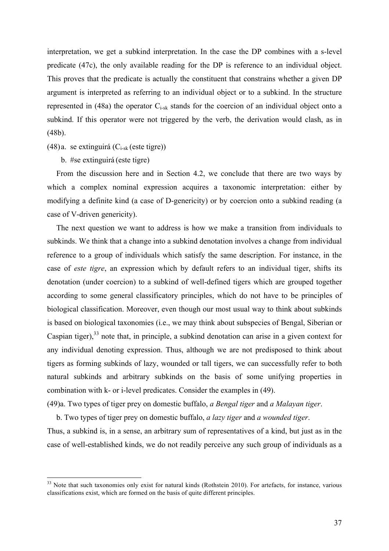interpretation, we get a subkind interpretation. In the case the DP combines with a s-level predicate (47c), the only available reading for the DP is reference to an individual object. This proves that the predicate is actually the constituent that constrains whether a given DP argument is interpreted as referring to an individual object or to a subkind. In the structure represented in (48a) the operator  $C_{i-sk}$  stands for the coercion of an individual object onto a subkind. If this operator were not triggered by the verb, the derivation would clash, as in (48b).

(48)a. se extinguirá  $(C_{i-sk}$  (este tigre))

b. #se extinguirá (este tigre)

From the discussion here and in Section 4.2, we conclude that there are two ways by which a complex nominal expression acquires a taxonomic interpretation: either by modifying a definite kind (a case of D-genericity) or by coercion onto a subkind reading (a case of V-driven genericity).

The next question we want to address is how we make a transition from individuals to subkinds. We think that a change into a subkind denotation involves a change from individual reference to a group of individuals which satisfy the same description. For instance, in the case of *este tigre*, an expression which by default refers to an individual tiger, shifts its denotation (under coercion) to a subkind of well-defined tigers which are grouped together according to some general classificatory principles, which do not have to be principles of biological classification. Moreover, even though our most usual way to think about subkinds is based on biological taxonomies (i.e., we may think about subspecies of Bengal, Siberian or Caspian tiger),  $33$  note that, in principle, a subkind denotation can arise in a given context for any individual denoting expression. Thus, although we are not predisposed to think about tigers as forming subkinds of lazy, wounded or tall tigers, we can successfully refer to both natural subkinds and arbitrary subkinds on the basis of some unifying properties in combination with k- or i-level predicates. Consider the examples in (49).

(49)a. Two types of tiger prey on domestic buffalo, *a Bengal tiger* and *a Malayan tiger*.

b. Two types of tiger prey on domestic buffalo, *a lazy tiger* and *a wounded tiger*. Thus, a subkind is, in a sense, an arbitrary sum of representatives of a kind, but just as in the case of well-established kinds, we do not readily perceive any such group of individuals as a

<sup>&</sup>lt;sup>33</sup> Note that such taxonomies only exist for natural kinds (Rothstein 2010). For artefacts, for instance, various classifications exist, which are formed on the basis of quite different principles.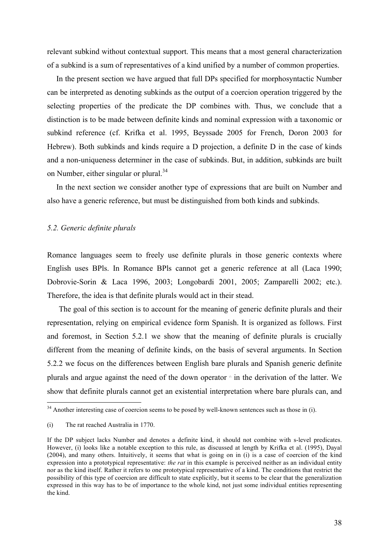relevant subkind without contextual support. This means that a most general characterization of a subkind is a sum of representatives of a kind unified by a number of common properties.

In the present section we have argued that full DPs specified for morphosyntactic Number can be interpreted as denoting subkinds as the output of a coercion operation triggered by the selecting properties of the predicate the DP combines with. Thus, we conclude that a distinction is to be made between definite kinds and nominal expression with a taxonomic or subkind reference (cf. Krifka et al. 1995, Beyssade 2005 for French, Doron 2003 for Hebrew). Both subkinds and kinds require a D projection, a definite D in the case of kinds and a non-uniqueness determiner in the case of subkinds. But, in addition, subkinds are built on Number, either singular or plural.<sup>34</sup>

In the next section we consider another type of expressions that are built on Number and also have a generic reference, but must be distinguished from both kinds and subkinds.

# *5.2. Generic definite plurals*

Romance languages seem to freely use definite plurals in those generic contexts where English uses BPls. In Romance BPls cannot get a generic reference at all (Laca 1990; Dobrovie-Sorin & Laca 1996, 2003; Longobardi 2001, 2005; Zamparelli 2002; etc.). Therefore, the idea is that definite plurals would act in their stead.

The goal of this section is to account for the meaning of generic definite plurals and their representation, relying on empirical evidence form Spanish. It is organized as follows. First and foremost, in Section 5.2.1 we show that the meaning of definite plurals is crucially different from the meaning of definite kinds, on the basis of several arguments. In Section 5.2.2 we focus on the differences between English bare plurals and Spanish generic definite plurals and argue against the need of the down operator <sup>∩</sup> in the derivation of the latter. We show that definite plurals cannot get an existential interpretation where bare plurals can, and

<sup>&</sup>lt;sup>34</sup> Another interesting case of coercion seems to be posed by well-known sentences such as those in (i).

<sup>(</sup>i) The rat reached Australia in 1770.

If the DP subject lacks Number and denotes a definite kind, it should not combine with s-level predicates. However, (i) looks like a notable exception to this rule, as discussed at length by Krifka et al. (1995), Dayal (2004), and many others. Intuitively, it seems that what is going on in (i) is a case of coercion of the kind expression into a prototypical representative: *the rat* in this example is perceived neither as an individual entity nor as the kind itself. Rather it refers to one prototypical representative of a kind. The conditions that restrict the possibility of this type of coercion are difficult to state explicitly, but it seems to be clear that the generalization expressed in this way has to be of importance to the whole kind, not just some individual entities representing the kind.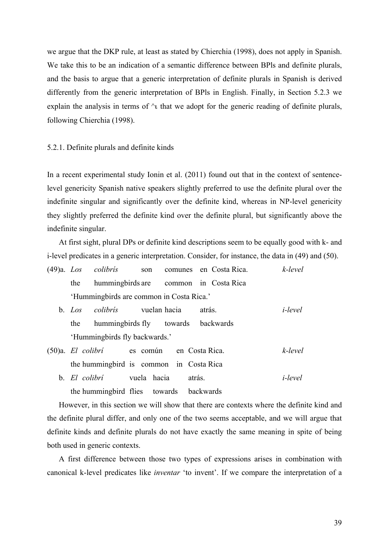we argue that the DKP rule, at least as stated by Chierchia (1998), does not apply in Spanish. We take this to be an indication of a semantic difference between BPls and definite plurals, and the basis to argue that a generic interpretation of definite plurals in Spanish is derived differently from the generic interpretation of BPls in English. Finally, in Section 5.2.3 we explain the analysis in terms of  $\sim$ ι that we adopt for the generic reading of definite plurals, following Chierchia (1998).

5.2.1. Definite plurals and definite kinds

In a recent experimental study Ionin et al. (2011) found out that in the context of sentencelevel genericity Spanish native speakers slightly preferred to use the definite plural over the indefinite singular and significantly over the definite kind, whereas in NP-level genericity they slightly preferred the definite kind over the definite plural, but significantly above the indefinite singular.

At first sight, plural DPs or definite kind descriptions seem to be equally good with k- and i-level predicates in a generic interpretation. Consider, for instance, the data in (49) and (50).

- (49)a. *Los colibrís* son comunes en Costa Rica. *k-level* the hummingbirds are common in Costa Rica 'Hummingbirds are common in Costa Rica.'
	- b. *Los colibrís* vuelan hacia atrás. *i-level* the hummingbirds fly towards backwards 'Hummingbirds fly backwards.'
- (50)a. *El colibrí* es común en Costa Rica. *k-level* the hummingbird is common in Costa Rica b. *El colibrí* vuela hacia atrás. *i-level*

the hummingbird flies towards backwards

However, in this section we will show that there are contexts where the definite kind and the definite plural differ, and only one of the two seems acceptable, and we will argue that definite kinds and definite plurals do not have exactly the same meaning in spite of being both used in generic contexts.

A first difference between those two types of expressions arises in combination with canonical k-level predicates like *inventar* 'to invent'. If we compare the interpretation of a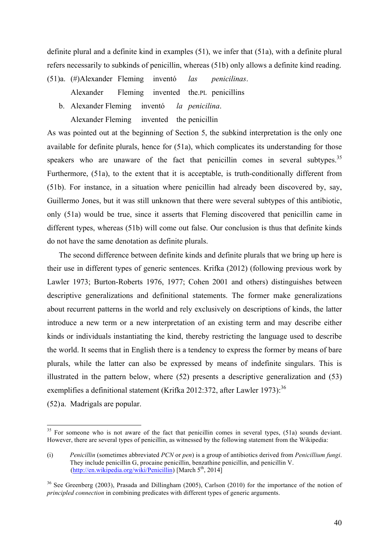definite plural and a definite kind in examples (51), we infer that (51a), with a definite plural refers necessarily to subkinds of penicillin, whereas (51b) only allows a definite kind reading.

- (51)a. (#)Alexander Fleming inventó *las penicilinas*. Alexander Fleming invented the.PL penicillins
	- b. Alexander Fleming inventó *la penicilina*.
		- Alexander Fleming invented the penicillin

As was pointed out at the beginning of Section 5, the subkind interpretation is the only one available for definite plurals, hence for (51a), which complicates its understanding for those speakers who are unaware of the fact that penicillin comes in several subtypes.<sup>35</sup> Furthermore, (51a), to the extent that it is acceptable, is truth-conditionally different from (51b). For instance, in a situation where penicillin had already been discovered by, say, Guillermo Jones, but it was still unknown that there were several subtypes of this antibiotic, only (51a) would be true, since it asserts that Fleming discovered that penicillin came in different types, whereas (51b) will come out false. Our conclusion is thus that definite kinds do not have the same denotation as definite plurals.

The second difference between definite kinds and definite plurals that we bring up here is their use in different types of generic sentences. Krifka (2012) (following previous work by Lawler 1973; Burton-Roberts 1976, 1977; Cohen 2001 and others) distinguishes between descriptive generalizations and definitional statements. The former make generalizations about recurrent patterns in the world and rely exclusively on descriptions of kinds, the latter introduce a new term or a new interpretation of an existing term and may describe either kinds or individuals instantiating the kind, thereby restricting the language used to describe the world. It seems that in English there is a tendency to express the former by means of bare plurals, while the latter can also be expressed by means of indefinite singulars. This is illustrated in the pattern below, where (52) presents a descriptive generalization and (53) exemplifies a definitional statement (Krifka 2012:372, after Lawler 1973):  $36$ 

(52)a. Madrigals are popular.

<sup>&</sup>lt;sup>35</sup> For someone who is not aware of the fact that penicillin comes in several types, (51a) sounds deviant. However, there are several types of penicillin, as witnessed by the following statement from the Wikipedia:

<sup>(</sup>i) *Penicillin* (sometimes abbreviated *PCN* or *pen*) is a group of antibiotics derived from *Penicillium fungi*. They include penicillin G, procaine penicillin, benzathine penicillin, and penicillin V. (http://en.wikipedia.org/wiki/Penicillin) [March 5<sup>th</sup>, 2014]

<sup>&</sup>lt;sup>36</sup> See Greenberg (2003), Prasada and Dillingham (2005), Carlson (2010) for the importance of the notion of *principled connection* in combining predicates with different types of generic arguments.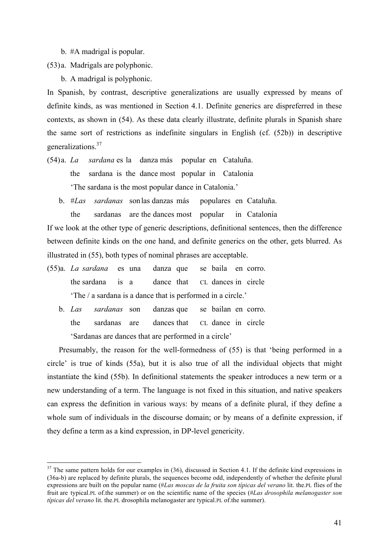## b. #A madrigal is popular.

(53)a. Madrigals are polyphonic.

b. A madrigal is polyphonic.

In Spanish, by contrast, descriptive generalizations are usually expressed by means of definite kinds, as was mentioned in Section 4.1. Definite generics are dispreferred in these contexts, as shown in (54). As these data clearly illustrate, definite plurals in Spanish share the same sort of restrictions as indefinite singulars in English (cf. (52b)) in descriptive generalizations.<sup>37</sup>

- (54)a. *La sardana* es la danza más popular en Cataluña. the sardana is the dance most popular in Catalonia 'The sardana is the most popular dance in Catalonia.'
	- b. #*Las sardanas* sonlas danzas más populares en Cataluña. the sardanas are the dances most popular in Catalonia

If we look at the other type of generic descriptions, definitional sentences, then the difference between definite kinds on the one hand, and definite generics on the other, gets blurred. As illustrated in (55), both types of nominal phrases are acceptable.

- (55)a. *La sardana* es una danza que se baila en corro. the sardana is a dance that CL dances in circle 'The / a sardana is a dance that is performed in a circle.'
	- b. *Las sardanas* son danzas que se bailan en corro. the sardanas are dances that CL dance in circle 'Sardanas are dances that are performed in a circle'

Presumably, the reason for the well-formedness of (55) is that 'being performed in a circle' is true of kinds (55a), but it is also true of all the individual objects that might instantiate the kind (55b). In definitional statements the speaker introduces a new term or a new understanding of a term. The language is not fixed in this situation, and native speakers can express the definition in various ways: by means of a definite plural, if they define a whole sum of individuals in the discourse domain; or by means of a definite expression, if they define a term as a kind expression, in DP-level genericity.

 $37$  The same pattern holds for our examples in (36), discussed in Section 4.1. If the definite kind expressions in (36a-b) are replaced by definite plurals, the sequences become odd, independently of whether the definite plural expressions are built on the popular name (#*Las moscas de la fruita son típicas del verano* lit. the.PL flies of the fruit are typical.PL of.the summer) or on the scientific name of the species (#*Las drosophila melanogaster son típicas del verano* lit. the.PL drosophila melanogaster are typical.PL of.the summer).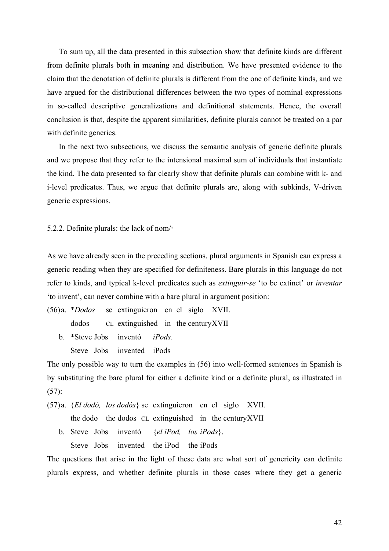To sum up, all the data presented in this subsection show that definite kinds are different from definite plurals both in meaning and distribution. We have presented evidence to the claim that the denotation of definite plurals is different from the one of definite kinds, and we have argued for the distributional differences between the two types of nominal expressions in so-called descriptive generalizations and definitional statements. Hence, the overall conclusion is that, despite the apparent similarities, definite plurals cannot be treated on a par with definite generics.

In the next two subsections, we discuss the semantic analysis of generic definite plurals and we propose that they refer to the intensional maximal sum of individuals that instantiate the kind. The data presented so far clearly show that definite plurals can combine with k- and i-level predicates. Thus, we argue that definite plurals are, along with subkinds, V-driven generic expressions.

5.2.2. Definite plurals: the lack of nom/∩

As we have already seen in the preceding sections, plural arguments in Spanish can express a generic reading when they are specified for definiteness. Bare plurals in this language do not refer to kinds, and typical k-level predicates such as *extinguir-se* 'to be extinct' or *inventar*  'to invent', can never combine with a bare plural in argument position:

(56)a. \**Dodos* se extinguieron en el siglo XVII.

dodos CL extinguished in the centuryXVII

b. \*Steve Jobs inventó *iPods*.

Steve Jobs invented iPods

The only possible way to turn the examples in (56) into well-formed sentences in Spanish is by substituting the bare plural for either a definite kind or a definite plural, as illustrated in (57):

(57)a. {*El dodó, los dodós*} se extinguieron en el siglo XVII.

the dodo the dodos CL extinguished in the centuryXVII

b. Steve Jobs inventó {*el iPod, los iPods*}.

Steve Jobs invented the iPod the iPods

The questions that arise in the light of these data are what sort of genericity can definite plurals express, and whether definite plurals in those cases where they get a generic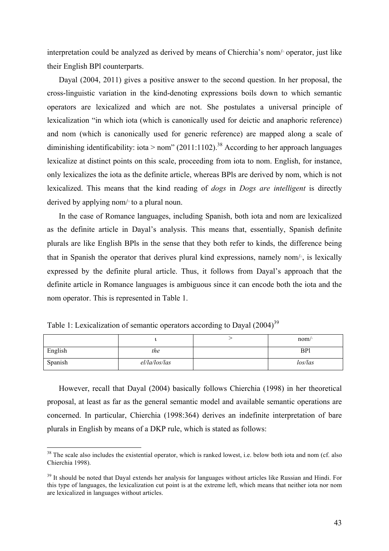interpretation could be analyzed as derived by means of Chierchia's nom/<sup>∩</sup> operator, just like their English BPl counterparts.

Dayal (2004, 2011) gives a positive answer to the second question. In her proposal, the cross-linguistic variation in the kind-denoting expressions boils down to which semantic operators are lexicalized and which are not. She postulates a universal principle of lexicalization "in which iota (which is canonically used for deictic and anaphoric reference) and nom (which is canonically used for generic reference) are mapped along a scale of diminishing identificability: iota > nom" (2011:1102).<sup>38</sup> According to her approach languages lexicalize at distinct points on this scale, proceeding from iota to nom. English, for instance, only lexicalizes the iota as the definite article, whereas BPls are derived by nom, which is not lexicalized. This means that the kind reading of *dogs* in *Dogs are intelligent* is directly derived by applying nom/<sup>∩</sup> to a plural noun.

In the case of Romance languages, including Spanish, both iota and nom are lexicalized as the definite article in Dayal's analysis. This means that, essentially, Spanish definite plurals are like English BPls in the sense that they both refer to kinds, the difference being that in Spanish the operator that derives plural kind expressions, namely nom/ $\alpha$ , is lexically expressed by the definite plural article. Thus, it follows from Dayal's approach that the definite article in Romance languages is ambiguous since it can encode both the iota and the nom operator. This is represented in Table 1.

|         |               | nom/       |
|---------|---------------|------------|
| English | the           | <b>BPI</b> |
| Spanish | el/la/los/las | los/las    |

|  |  |  | Table 1: Lexicalization of semantic operators according to Dayal (2004) <sup>39</sup> |  |
|--|--|--|---------------------------------------------------------------------------------------|--|
|  |  |  |                                                                                       |  |
|  |  |  |                                                                                       |  |

However, recall that Dayal (2004) basically follows Chierchia (1998) in her theoretical proposal, at least as far as the general semantic model and available semantic operations are concerned. In particular, Chierchia (1998:364) derives an indefinite interpretation of bare plurals in English by means of a DKP rule, which is stated as follows:

<sup>&</sup>lt;sup>38</sup> The scale also includes the existential operator, which is ranked lowest, i.e. below both iota and nom (cf. also Chierchia 1998).

<sup>&</sup>lt;sup>39</sup> It should be noted that Daval extends her analysis for languages without articles like Russian and Hindi. For this type of languages, the lexicalization cut point is at the extreme left, which means that neither iota nor nom are lexicalized in languages without articles.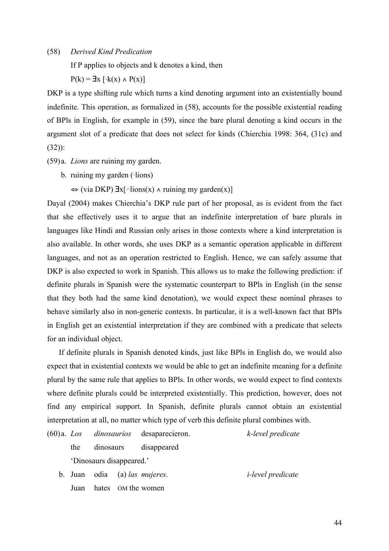(58) *Derived Kind Predication*

If P applies to objects and k denotes a kind, then

 $P(k) = \exists x [\forall k(x) \land P(x)]$ 

DKP is a type shifting rule which turns a kind denoting argument into an existentially bound indefinite. This operation, as formalized in (58), accounts for the possible existential reading of BPls in English, for example in (59), since the bare plural denoting a kind occurs in the argument slot of a predicate that does not select for kinds (Chierchia 1998: 364, (31c) and (32)):

(59)a. *Lions* are ruining my garden.

b. ruining my garden (∩lions)

⇔ (via DKP) ∃x[∪∩ lions(x) ∧ ruining my garden(x)]

Dayal (2004) makes Chierchia's DKP rule part of her proposal, as is evident from the fact that she effectively uses it to argue that an indefinite interpretation of bare plurals in languages like Hindi and Russian only arises in those contexts where a kind interpretation is also available. In other words, she uses DKP as a semantic operation applicable in different languages, and not as an operation restricted to English. Hence, we can safely assume that DKP is also expected to work in Spanish. This allows us to make the following prediction: if definite plurals in Spanish were the systematic counterpart to BPls in English (in the sense that they both had the same kind denotation), we would expect these nominal phrases to behave similarly also in non-generic contexts. In particular, it is a well-known fact that BPls in English get an existential interpretation if they are combined with a predicate that selects for an individual object.

If definite plurals in Spanish denoted kinds, just like BPls in English do, we would also expect that in existential contexts we would be able to get an indefinite meaning for a definite plural by the same rule that applies to BPls. In other words, we would expect to find contexts where definite plurals could be interpreted existentially. This prediction, however, does not find any empirical support. In Spanish, definite plurals cannot obtain an existential interpretation at all, no matter which type of verb this definite plural combines with.

(60)a. *Los dinosaurios* desaparecieron. *k-level predicate* the dinosaurs disappeared 'Dinosaurs disappeared.'

b. Juan odia (a) *las mujeres*. *i-level predicate* Juan hates OM the women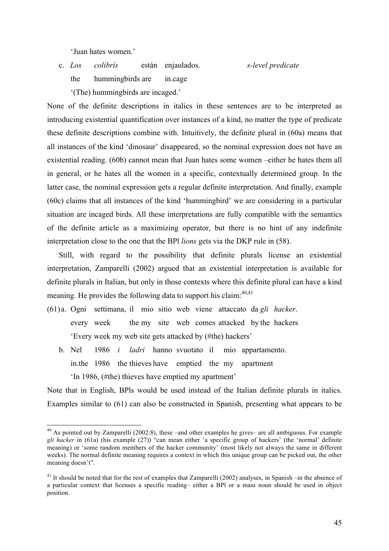'Juan hates women.'

c. *Los colibrís* están enjaulados. *s-level predicate*

the hummingbirds are in.cage

'(The) hummingbirds are incaged.'

None of the definite descriptions in italics in these sentences are to be interpreted as introducing existential quantification over instances of a kind, no matter the type of predicate these definite descriptions combine with. Intuitively, the definite plural in (60a) means that all instances of the kind 'dinosaur' disappeared, so the nominal expression does not have an existential reading. (60b) cannot mean that Juan hates some women –either he hates them all in general, or he hates all the women in a specific, contextually determined group. In the latter case, the nominal expression gets a regular definite interpretation. And finally, example (60c) claims that all instances of the kind 'hummingbird' we are considering in a particular situation are incaged birds. All these interpretations are fully compatible with the semantics of the definite article as a maximizing operator, but there is no hint of any indefinite interpretation close to the one that the BPl *lions* gets via the DKP rule in (58).

Still, with regard to the possibility that definite plurals license an existential interpretation, Zamparelli (2002) argued that an existential interpretation is available for definite plurals in Italian, but only in those contexts where this definite plural can have a kind meaning. He provides the following data to support his claim: $40,41$ 

(61)a. Ogni settimana, il mio sitio web viene attaccato da *gli hacker*. every week the my site web comes attacked by the hackers 'Every week my web site gets attacked by (#the) hackers'

b. Nel 1986 *i ladri* hanno svuotato il mio appartamento. in.the 1986 the thieves have emptied the my apartment 'In 1986, (#the) thieves have emptied my apartment'

Note that in English, BPls would be used instead of the Italian definite plurals in italics. Examples similar to (61) can also be constructed in Spanish, presenting what appears to be

 $40$  As pointed out by Zamparelli (2002:8), these –and other examples he gives– are all ambiguous. For example *gli hacker* in (61a) (his example (27)) "can mean either 'a specific group of hackers' (the 'normal' definite meaning) or 'some random members of the hacker community' (most likely not always the same in different weeks). The normal definite meaning requires a context in which this unique group can be picked out, the other meaning doesn't".

 $41$  It should be noted that for the rest of examples that Zamparelli (2002) analyses, in Spanish –in the absence of a particular context that licenses a specific reading– either a BPl or a mass noun should be used in object position.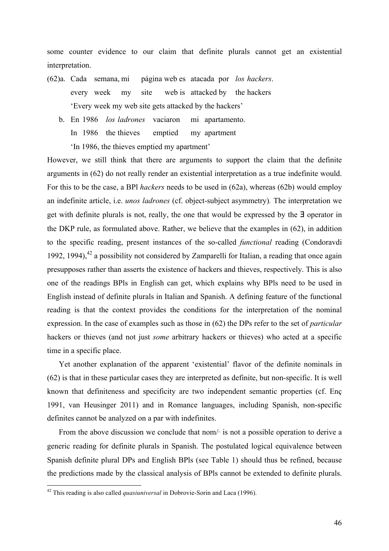some counter evidence to our claim that definite plurals cannot get an existential interpretation.

- (62)a. Cada semana, mi página web es atacada por *los hackers*. every week my site web is attacked by the hackers 'Every week my web site gets attacked by the hackers'
	- b. En 1986 *los ladrones* vaciaron mi apartamento. In 1986 the thieves emptied my apartment

'In 1986, the thieves emptied my apartment'

However, we still think that there are arguments to support the claim that the definite arguments in (62) do not really render an existential interpretation as a true indefinite would. For this to be the case, a BPl *hackers* needs to be used in (62a), whereas (62b) would employ an indefinite article, i.e. *unos ladrones* (cf. object-subject asymmetry)*.* The interpretation we get with definite plurals is not, really, the one that would be expressed by the ∃ operator in the DKP rule, as formulated above. Rather, we believe that the examples in (62), in addition to the specific reading, present instances of the so-called *functional* reading (Condoravdi 1992, 1994), $42$  a possibility not considered by Zamparelli for Italian, a reading that once again presupposes rather than asserts the existence of hackers and thieves, respectively. This is also one of the readings BPls in English can get, which explains why BPls need to be used in English instead of definite plurals in Italian and Spanish. A defining feature of the functional reading is that the context provides the conditions for the interpretation of the nominal expression. In the case of examples such as those in (62) the DPs refer to the set of *particular* hackers or thieves (and not just *some* arbitrary hackers or thieves) who acted at a specific time in a specific place.

Yet another explanation of the apparent 'existential' flavor of the definite nominals in (62) is that in these particular cases they are interpreted as definite, but non-specific. It is well known that definiteness and specificity are two independent semantic properties (cf. Enç 1991, van Heusinger 2011) and in Romance languages, including Spanish, non-specific definites cannot be analyzed on a par with indefinites.

From the above discussion we conclude that nom/∩ is not a possible operation to derive a generic reading for definite plurals in Spanish. The postulated logical equivalence between Spanish definite plural DPs and English BPls (see Table 1) should thus be refined, because the predictions made by the classical analysis of BPls cannot be extended to definite plurals.

 <sup>42</sup> This reading is also called *quasiuniversal* in Dobrovie-Sorin and Laca (1996).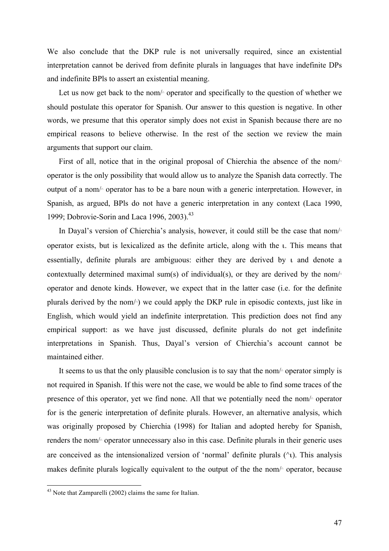We also conclude that the DKP rule is not universally required, since an existential interpretation cannot be derived from definite plurals in languages that have indefinite DPs and indefinite BPls to assert an existential meaning.

Let us now get back to the nom/∩ operator and specifically to the question of whether we should postulate this operator for Spanish. Our answer to this question is negative. In other words, we presume that this operator simply does not exist in Spanish because there are no empirical reasons to believe otherwise. In the rest of the section we review the main arguments that support our claim.

First of all, notice that in the original proposal of Chierchia the absence of the nom/<sup>∩</sup> operator is the only possibility that would allow us to analyze the Spanish data correctly. The output of a nom/<sup>∩</sup> operator has to be a bare noun with a generic interpretation. However, in Spanish, as argued, BPls do not have a generic interpretation in any context (Laca 1990, 1999; Dobrovie-Sorin and Laca 1996, 2003).<sup>43</sup>

In Dayal's version of Chierchia's analysis, however, it could still be the case that nom/<sup>∩</sup> operator exists, but is lexicalized as the definite article, along with the ι. This means that essentially, definite plurals are ambiguous: either they are derived by ι and denote a contextually determined maximal sum(s) of individual(s), or they are derived by the nom $\wedge$ operator and denote kinds. However, we expect that in the latter case (i.e. for the definite plurals derived by the nom/∩) we could apply the DKP rule in episodic contexts, just like in English, which would yield an indefinite interpretation. This prediction does not find any empirical support: as we have just discussed, definite plurals do not get indefinite interpretations in Spanish. Thus, Dayal's version of Chierchia's account cannot be maintained either.

It seems to us that the only plausible conclusion is to say that the nom/<sup>∩</sup> operator simply is not required in Spanish. If this were not the case, we would be able to find some traces of the presence of this operator, yet we find none. All that we potentially need the nom/<sup>∩</sup> operator for is the generic interpretation of definite plurals. However, an alternative analysis, which was originally proposed by Chierchia (1998) for Italian and adopted hereby for Spanish, renders the nom/<sup>∩</sup> operator unnecessary also in this case. Definite plurals in their generic uses are conceived as the intensionalized version of 'normal' definite plurals ( $\lambda$ ). This analysis makes definite plurals logically equivalent to the output of the the nom/<sup>∩</sup> operator, because

 <sup>43</sup> Note that Zamparelli (2002) claims the same for Italian.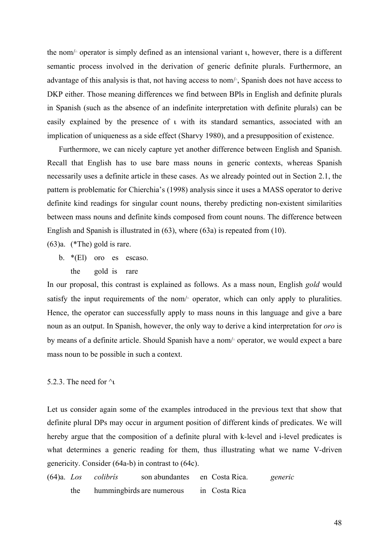the nom/<sup>∩</sup> operator is simply defined as an intensional variant ι, however, there is a different semantic process involved in the derivation of generic definite plurals. Furthermore, an advantage of this analysis is that, not having access to nom/<sup>∩</sup> , Spanish does not have access to DKP either. Those meaning differences we find between BPls in English and definite plurals in Spanish (such as the absence of an indefinite interpretation with definite plurals) can be easily explained by the presence of ι with its standard semantics, associated with an implication of uniqueness as a side effect (Sharvy 1980), and a presupposition of existence.

Furthermore, we can nicely capture yet another difference between English and Spanish. Recall that English has to use bare mass nouns in generic contexts, whereas Spanish necessarily uses a definite article in these cases. As we already pointed out in Section 2.1, the pattern is problematic for Chierchia's (1998) analysis since it uses a MASS operator to derive definite kind readings for singular count nouns, thereby predicting non-existent similarities between mass nouns and definite kinds composed from count nouns. The difference between English and Spanish is illustrated in (63), where (63a) is repeated from (10).

(63)a. (\*The) gold is rare.

- b. \*(El) oro es escaso.
	- the gold is rare

In our proposal, this contrast is explained as follows. As a mass noun, English *gold* would satisfy the input requirements of the nom<sup>*∣*∩</sup> operator, which can only apply to pluralities. Hence, the operator can successfully apply to mass nouns in this language and give a bare noun as an output. In Spanish, however, the only way to derive a kind interpretation for *oro* is by means of a definite article. Should Spanish have a nom/<sup>∩</sup> operator, we would expect a bare mass noun to be possible in such a context.

# 5.2.3. The need for  $\lambda$ **ι**

Let us consider again some of the examples introduced in the previous text that show that definite plural DPs may occur in argument position of different kinds of predicates. We will hereby argue that the composition of a definite plural with k-level and i-level predicates is what determines a generic reading for them, thus illustrating what we name V-driven genericity. Consider (64a-b) in contrast to (64c).

(64)a. *Los colibrís* son abundantes en Costa Rica. *generic* the hummingbirds are numerous in Costa Rica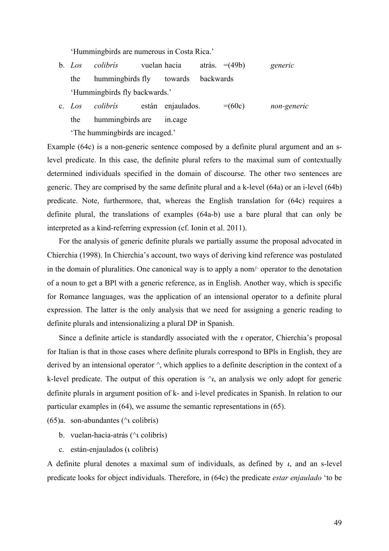'Hummingbirds are numerous in Costa Rica.'

- b. *Los colibrís* vuelan hacia atrás. =(49b) *generic* the hummingbirds fly towards backwards 'Hummingbirds fly backwards.'
- c. *Los colibrís* están enjaulados. =(60c) *non-generic* the hummingbirds are in.cage 'The hummingbirds are incaged.'

Example (64c) is a non-generic sentence composed by a definite plural argument and an slevel predicate. In this case, the definite plural refers to the maximal sum of contextually determined individuals specified in the domain of discourse. The other two sentences are generic. They are comprised by the same definite plural and a k-level (64a) or an i-level (64b) predicate. Note, furthermore, that, whereas the English translation for (64c) requires a definite plural, the translations of examples (64a-b) use a bare plural that can only be interpreted as a kind-referring expression (cf. Ionin et al. 2011).

For the analysis of generic definite plurals we partially assume the proposal advocated in Chierchia (1998). In Chierchia's account, two ways of deriving kind reference was postulated in the domain of pluralities. One canonical way is to apply a nom/<sup>∩</sup> operator to the denotation of a noun to get a BPl with a generic reference, as in English. Another way, which is specific for Romance languages, was the application of an intensional operator to a definite plural expression. The latter is the only analysis that we need for assigning a generic reading to definite plurals and intensionalizing a plural DP in Spanish.

Since a definite article is standardly associated with the  $\iota$  operator, Chierchia's proposal for Italian is that in those cases where definite plurals correspond to BPls in English, they are derived by an intensional operator *^*, which applies to a definite description in the context of a k-level predicate. The output of this operation is *^*ι, an analysis we only adopt for generic definite plurals in argument position of k- and i-level predicates in Spanish. In relation to our particular examples in (64), we assume the semantic representations in (65).

(65)a. son-abundantes (^ι colibrís)

- b. vuelan-hacia-atrás (^ι colibrís)
- c. están-enjaulados (ι colibrís)

A definite plural denotes a maximal sum of individuals, as defined by  $\iota$ , and an s-level predicate looks for object individuals. Therefore, in (64c) the predicate *estar enjaulado* 'to be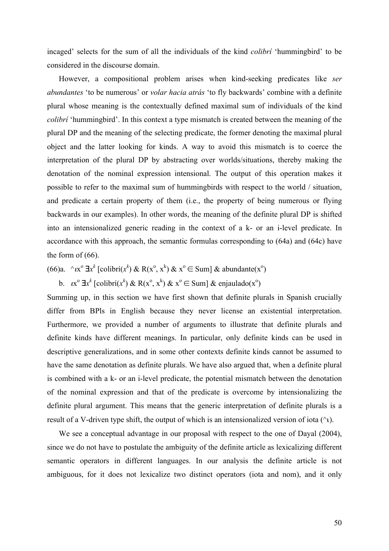incaged' selects for the sum of all the individuals of the kind *colibrí* 'hummingbird' to be considered in the discourse domain.

However, a compositional problem arises when kind-seeking predicates like *ser abundantes* 'to be numerous' or *volar hacia atrás* 'to fly backwards' combine with a definite plural whose meaning is the contextually defined maximal sum of individuals of the kind *colibrí* 'hummingbird'. In this context a type mismatch is created between the meaning of the plural DP and the meaning of the selecting predicate, the former denoting the maximal plural object and the latter looking for kinds. A way to avoid this mismatch is to coerce the interpretation of the plural DP by abstracting over worlds/situations, thereby making the denotation of the nominal expression intensional. The output of this operation makes it possible to refer to the maximal sum of hummingbirds with respect to the world / situation, and predicate a certain property of them (i.e., the property of being numerous or flying backwards in our examples). In other words, the meaning of the definite plural DP is shifted into an intensionalized generic reading in the context of a k- or an i-level predicate. In accordance with this approach, the semantic formulas corresponding to (64a) and (64c) have the form of (66).

(66)a.  $\alpha x^{\circ}$   $\exists x^{k}$  [colibrí( $x^{k}$ ) & R( $x^{\circ}$ ,  $x^{k}$ ) &  $x^{\circ}$   $\in$  Sum] & abundante( $x^{\circ}$ )

b.  $\alpha^{\circ}$   $\exists x^{k}$  [colibrí( $x^{k}$ ) & R( $x^{\circ}$ ,  $x^{k}$ ) &  $x^{\circ}$   $\in$  Sum] & enjaulado( $x^{\circ}$ )

Summing up, in this section we have first shown that definite plurals in Spanish crucially differ from BPls in English because they never license an existential interpretation. Furthermore, we provided a number of arguments to illustrate that definite plurals and definite kinds have different meanings. In particular, only definite kinds can be used in descriptive generalizations, and in some other contexts definite kinds cannot be assumed to have the same denotation as definite plurals. We have also argued that, when a definite plural is combined with a k- or an i-level predicate, the potential mismatch between the denotation of the nominal expression and that of the predicate is overcome by intensionalizing the definite plural argument. This means that the generic interpretation of definite plurals is a result of a V-driven type shift, the output of which is an intensionalized version of iota  $(2)$ .

We see a conceptual advantage in our proposal with respect to the one of Dayal (2004), since we do not have to postulate the ambiguity of the definite article as lexicalizing different semantic operators in different languages. In our analysis the definite article is not ambiguous, for it does not lexicalize two distinct operators (iota and nom), and it only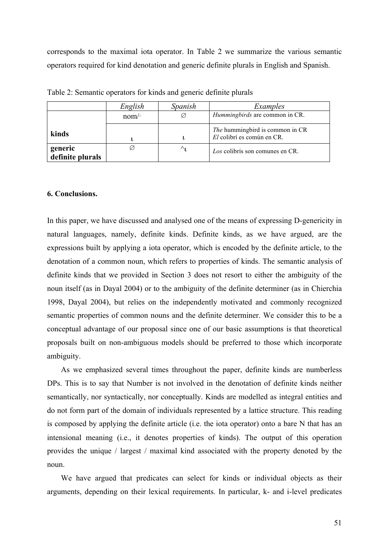corresponds to the maximal iota operator. In Table 2 we summarize the various semantic operators required for kind denotation and generic definite plurals in English and Spanish.

|                             | English | Spanish               | Examples                                                       |
|-----------------------------|---------|-----------------------|----------------------------------------------------------------|
|                             | nom     | Ø                     | <i>Hummingbirds</i> are common in CR.                          |
| kinds                       |         |                       | The humming bird is common in CR<br>El colibrí es común en CR. |
| generic<br>definite plurals | Ø       | $\wedge$ <sub>I</sub> | Los colibrís son comunes en CR.                                |

Table 2: Semantic operators for kinds and generic definite plurals

#### **6. Conclusions.**

In this paper, we have discussed and analysed one of the means of expressing D-genericity in natural languages, namely, definite kinds. Definite kinds, as we have argued, are the expressions built by applying a iota operator, which is encoded by the definite article, to the denotation of a common noun, which refers to properties of kinds. The semantic analysis of definite kinds that we provided in Section 3 does not resort to either the ambiguity of the noun itself (as in Dayal 2004) or to the ambiguity of the definite determiner (as in Chierchia 1998, Dayal 2004), but relies on the independently motivated and commonly recognized semantic properties of common nouns and the definite determiner. We consider this to be a conceptual advantage of our proposal since one of our basic assumptions is that theoretical proposals built on non-ambiguous models should be preferred to those which incorporate ambiguity.

As we emphasized several times throughout the paper, definite kinds are numberless DPs. This is to say that Number is not involved in the denotation of definite kinds neither semantically, nor syntactically, nor conceptually. Kinds are modelled as integral entities and do not form part of the domain of individuals represented by a lattice structure. This reading is composed by applying the definite article (i.e. the iota operator) onto a bare N that has an intensional meaning (i.e., it denotes properties of kinds). The output of this operation provides the unique / largest / maximal kind associated with the property denoted by the noun.

We have argued that predicates can select for kinds or individual objects as their arguments, depending on their lexical requirements. In particular, k- and i-level predicates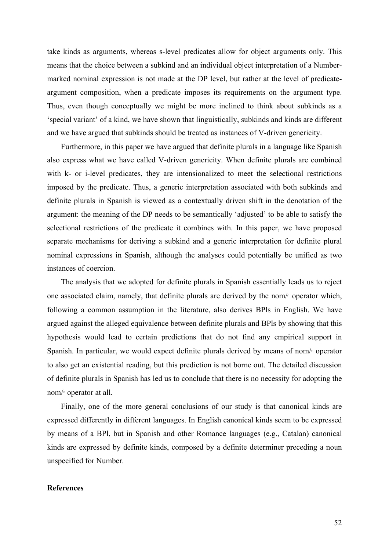take kinds as arguments, whereas s-level predicates allow for object arguments only. This means that the choice between a subkind and an individual object interpretation of a Numbermarked nominal expression is not made at the DP level, but rather at the level of predicateargument composition, when a predicate imposes its requirements on the argument type. Thus, even though conceptually we might be more inclined to think about subkinds as a 'special variant' of a kind, we have shown that linguistically, subkinds and kinds are different and we have argued that subkinds should be treated as instances of V-driven genericity.

Furthermore, in this paper we have argued that definite plurals in a language like Spanish also express what we have called V-driven genericity. When definite plurals are combined with k- or i-level predicates, they are intensionalized to meet the selectional restrictions imposed by the predicate. Thus, a generic interpretation associated with both subkinds and definite plurals in Spanish is viewed as a contextually driven shift in the denotation of the argument: the meaning of the DP needs to be semantically 'adjusted' to be able to satisfy the selectional restrictions of the predicate it combines with. In this paper, we have proposed separate mechanisms for deriving a subkind and a generic interpretation for definite plural nominal expressions in Spanish, although the analyses could potentially be unified as two instances of coercion.

The analysis that we adopted for definite plurals in Spanish essentially leads us to reject one associated claim, namely, that definite plurals are derived by the nom/<sup>∩</sup> operator which, following a common assumption in the literature, also derives BPls in English. We have argued against the alleged equivalence between definite plurals and BPls by showing that this hypothesis would lead to certain predictions that do not find any empirical support in Spanish. In particular, we would expect definite plurals derived by means of nom/<sup>∩</sup> operator to also get an existential reading, but this prediction is not borne out. The detailed discussion of definite plurals in Spanish has led us to conclude that there is no necessity for adopting the nom/<sup>∩</sup> operator at all.

Finally, one of the more general conclusions of our study is that canonical kinds are expressed differently in different languages. In English canonical kinds seem to be expressed by means of a BPl, but in Spanish and other Romance languages (e.g., Catalan) canonical kinds are expressed by definite kinds, composed by a definite determiner preceding a noun unspecified for Number.

## **References**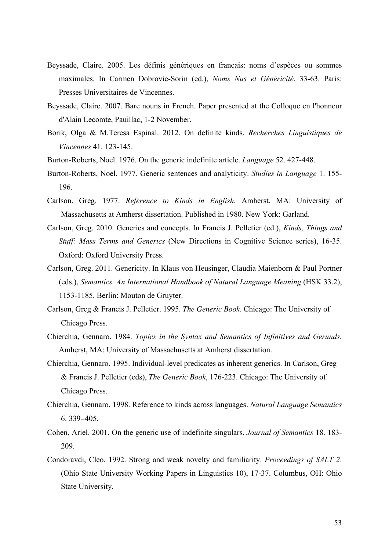- Beyssade, Claire. 2005. Les définis génériques en français: noms d'espèces ou sommes maximales. In Carmen Dobrovie-Sorin (ed.), *Noms Nus et Généricité*, 33-63. Paris: Presses Universitaires de Vincennes.
- Beyssade, Claire. 2007. Bare nouns in French. Paper presented at the Colloque en l'honneur d'Alain Lecomte, Pauillac, 1-2 November.
- Borik, Olga & M.Teresa Espinal. 2012. On definite kinds. *Recherches Linguistiques de Vincennes* 41. 123-145.
- Burton-Roberts, Noel. 1976. On the generic indefinite article. *Language* 52. 427-448.
- Burton-Roberts, Noel. 1977. Generic sentences and analyticity. *Studies in Language* 1. 155- 196.
- Carlson, Greg. 1977. *Reference to Kinds in English.* Amherst, MA: University of Massachusetts at Amherst dissertation. Published in 1980. New York: Garland.
- Carlson, Greg. 2010. Generics and concepts. In Francis J. Pelletier (ed.), *Kinds, Things and Stuff: Mass Terms and Generics* (New Directions in Cognitive Science series), 16-35. Oxford: Oxford University Press.
- Carlson, Greg. 2011. Genericity. In Klaus von Heusinger, Claudia Maienborn & Paul Portner (eds.), *Semantics. An International Handbook of Natural Language Meaning* (HSK 33.2), 1153-1185. Berlin: Mouton de Gruyter.
- Carlson, Greg & Francis J. Pelletier. 1995. *The Generic Book*. Chicago: The University of Chicago Press.
- Chierchia, Gennaro. 1984. *Topics in the Syntax and Semantics of Infinitives and Gerunds.*  Amherst, MA: University of Massachusetts at Amherst dissertation.
- Chierchia, Gennaro. 1995. Individual-level predicates as inherent generics. In Carlson, Greg & Francis J. Pelletier (eds), *The Generic Book*, 176-223. Chicago: The University of Chicago Press.
- Chierchia, Gennaro. 1998. Reference to kinds across languages. *Natural Language Semantics* 6. 339−405.
- Cohen, Ariel. 2001. On the generic use of indefinite singulars. *Journal of Semantics* 18. 183- 209.
- Condoravdi, Cleo. 1992. Strong and weak novelty and familiarity. *Proceedings of SALT 2*. (Ohio State University Working Papers in Linguistics 10), 17-37. Columbus, OH: Ohio State University.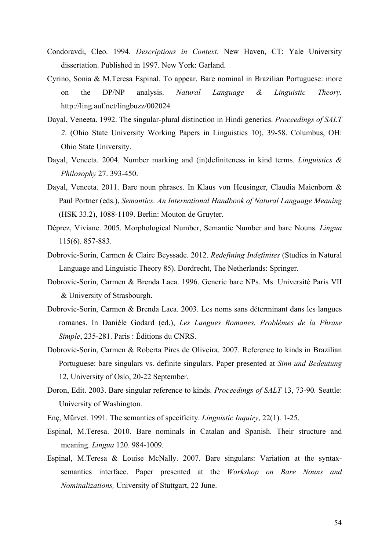- Condoravdi, Cleo. 1994. *Descriptions in Context*. New Haven, CT: Yale University dissertation. Published in 1997. New York: Garland.
- Cyrino, Sonia & M.Teresa Espinal. To appear. Bare nominal in Brazilian Portuguese: more on the DP/NP analysis. *Natural Language & Linguistic Theory.*  http://ling.auf.net/lingbuzz/002024
- Dayal, Veneeta. 1992. The singular-plural distinction in Hindi generics. *Proceedings of SALT 2*. (Ohio State University Working Papers in Linguistics 10), 39-58. Columbus, OH: Ohio State University.
- Dayal, Veneeta. 2004. Number marking and (in)definiteness in kind terms. *Linguistics & Philosophy* 27. 393-450.
- Dayal, Veneeta. 2011. Bare noun phrases. In Klaus von Heusinger, Claudia Maienborn & Paul Portner (eds.), *Semantics. An International Handbook of Natural Language Meaning*  (HSK 33.2), 1088-1109. Berlin: Mouton de Gruyter.
- Déprez, Viviane. 2005. Morphological Number, Semantic Number and bare Nouns. *Lingua* 115(6). 857-883.
- Dobrovie-Sorin, Carmen & Claire Beyssade. 2012. *Redefining Indefinites* (Studies in Natural Language and Linguistic Theory 85). Dordrecht, The Netherlands: Springer.
- Dobrovie-Sorin, Carmen & Brenda Laca. 1996. Generic bare NPs. Ms. Université Paris VII & University of Strasbourgh.
- Dobrovie-Sorin, Carmen & Brenda Laca. 2003. Les noms sans déterminant dans les langues romanes. In Danièle Godard (ed.), *Les Langues Romanes. Problèmes de la Phrase Simple*, 235-281. Paris : Éditions du CNRS.
- Dobrovie-Sorin, Carmen & Roberta Pires de Oliveira. 2007. Reference to kinds in Brazilian Portuguese: bare singulars vs. definite singulars. Paper presented at *Sinn und Bedeutung* 12, University of Oslo, 20-22 September.
- Doron, Edit. 2003. Bare singular reference to kinds. *Proceedings of SALT* 13, 73-90*.* Seattle: University of Washington.
- Enç, Mürvet. 1991. The semantics of specificity. *Linguistic Inquiry*, 22(1). 1-25.
- Espinal, M.Teresa. 2010. Bare nominals in Catalan and Spanish. Their structure and meaning. *Lingua* 120. 984-1009*.*
- Espinal, M.Teresa & Louise McNally. 2007. Bare singulars: Variation at the syntaxsemantics interface. Paper presented at the *Workshop on Bare Nouns and Nominalizations,* University of Stuttgart, 22 June.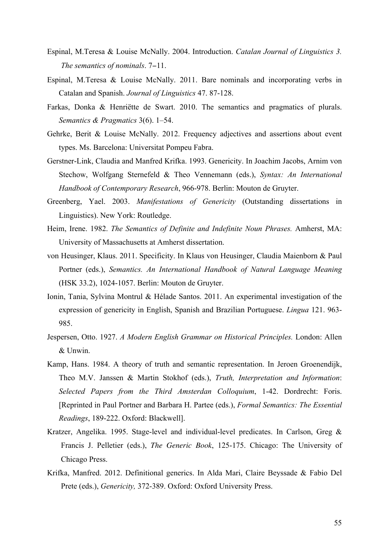- Espinal, M.Teresa & Louise McNally. 2004. Introduction. *Catalan Journal of Linguistics 3. The semantics of nominals*. 7−11.
- Espinal, M.Teresa & Louise McNally. 2011. Bare nominals and incorporating verbs in Catalan and Spanish. *Journal of Linguistics* 47. 87-128.
- Farkas, Donka & Henriëtte de Swart. 2010. The semantics and pragmatics of plurals. *Semantics & Pragmatics* 3(6). 1–54.
- Gehrke, Berit & Louise McNally. 2012. Frequency adjectives and assertions about event types. Ms. Barcelona: Universitat Pompeu Fabra.
- Gerstner-Link, Claudia and Manfred Krifka. 1993. Genericity. In Joachim Jacobs, Arnim von Stechow, Wolfgang Sternefeld & Theo Vennemann (eds.), *Syntax: An International Handbook of Contemporary Research*, 966-978. Berlin: Mouton de Gruyter.
- Greenberg, Yael. 2003. *Manifestations of Genericity* (Outstanding dissertations in Linguistics). New York: Routledge.
- Heim, Irene. 1982. *The Semantics of Definite and Indefinite Noun Phrases.* Amherst, MA: University of Massachusetts at Amherst dissertation.
- von Heusinger, Klaus. 2011. Specificity. In Klaus von Heusinger, Claudia Maienborn & Paul Portner (eds.), *Semantics. An International Handbook of Natural Language Meaning*  (HSK 33.2), 1024-1057. Berlin: Mouton de Gruyter.
- Ionin, Tania, Sylvina Montrul & Hélade Santos. 2011. An experimental investigation of the expression of genericity in English, Spanish and Brazilian Portuguese. *Lingua* 121. 963- 985.
- Jespersen, Otto. 1927. *A Modern English Grammar on Historical Principles.* London: Allen & Unwin.
- Kamp, Hans. 1984. A theory of truth and semantic representation. In Jeroen Groenendijk, Theo M.V. Janssen & Martin Stokhof (eds.), *Truth, Interpretation and Information*: *Selected Papers from the Third Amsterdan Colloquium*, 1-42. Dordrecht: Foris. [Reprinted in Paul Portner and Barbara H. Partee (eds.), *Formal Semantics: The Essential Readings*, 189-222. Oxford: Blackwell].
- Kratzer, Angelika. 1995. Stage-level and individual-level predicates. In Carlson, Greg & Francis J. Pelletier (eds.), *The Generic Book*, 125-175. Chicago: The University of Chicago Press.
- Krifka, Manfred. 2012. Definitional generics. In Alda Mari, Claire Beyssade & Fabio Del Prete (eds.), *Genericity,* 372-389. Oxford: Oxford University Press.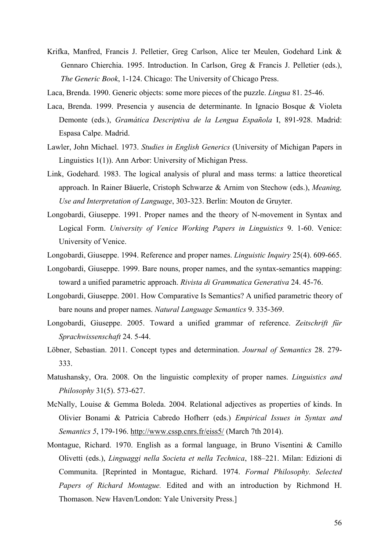Krifka, Manfred, Francis J. Pelletier, Greg Carlson, Alice ter Meulen, Godehard Link & Gennaro Chierchia. 1995. Introduction. In Carlson, Greg & Francis J. Pelletier (eds.), *The Generic Book*, 1-124. Chicago: The University of Chicago Press.

Laca, Brenda. 1990. Generic objects: some more pieces of the puzzle. *Lingua* 81. 25-46.

- Laca, Brenda. 1999. Presencia y ausencia de determinante. In Ignacio Bosque & Violeta Demonte (eds.), *Gramática Descriptiva de la Lengua Española* I, 891-928. Madrid: Espasa Calpe. Madrid.
- Lawler, John Michael. 1973. *Studies in English Generics* (University of Michigan Papers in Linguistics 1(1)). Ann Arbor: University of Michigan Press.
- Link, Godehard. 1983. The logical analysis of plural and mass terms: a lattice theoretical approach. In Rainer Bäuerle, Cristoph Schwarze & Arnim von Stechow (eds.), *Meaning, Use and Interpretation of Language*, 303-323. Berlin: Mouton de Gruyter.
- Longobardi, Giuseppe. 1991. Proper names and the theory of N-movement in Syntax and Logical Form. *University of Venice Working Papers in Linguistics* 9. 1-60. Venice: University of Venice.
- Longobardi, Giuseppe. 1994. Reference and proper names. *Linguistic Inquiry* 25(4). 609-665.
- Longobardi, Giuseppe. 1999. Bare nouns, proper names, and the syntax-semantics mapping: toward a unified parametric approach. *Rivista di Grammatica Generativa* 24. 45-76.
- Longobardi, Giuseppe. 2001. How Comparative Is Semantics? A unified parametric theory of bare nouns and proper names. *Natural Language Semantics* 9. 335-369.
- Longobardi, Giuseppe. 2005. Toward a unified grammar of reference. *Zeitschrift für Sprachwissenschaft* 24. 5-44.
- Löbner, Sebastian. 2011. Concept types and determination. *Journal of Semantics* 28. 279- 333.
- Matushansky, Ora. 2008. On the linguistic complexity of proper names. *Linguistics and Philosophy* 31(5). 573-627.
- McNally, Louise & Gemma Boleda. 2004. Relational adjectives as properties of kinds. In Olivier Bonami & Patricia Cabredo Hofherr (eds.) *Empirical Issues in Syntax and Semantics 5*, 179-196. http://www.cssp.cnrs.fr/eiss5/ (March 7th 2014).
- Montague, Richard. 1970. English as a formal language, in Bruno Visentini & Camillo Olivetti (eds.), *Linguaggi nella Societa et nella Technica*, 188–221. Milan: Edizioni di Communita. [Reprinted in Montague, Richard. 1974. *Formal Philosophy. Selected Papers of Richard Montague.* Edited and with an introduction by Richmond H. Thomason. New Haven/London: Yale University Press.]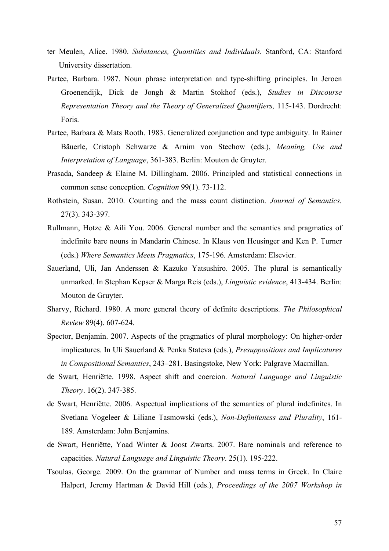- ter Meulen, Alice. 1980. *Substances, Quantities and Individuals.* Stanford, CA: Stanford University dissertation.
- Partee, Barbara. 1987. Noun phrase interpretation and type-shifting principles. In Jeroen Groenendijk, Dick de Jongh & Martin Stokhof (eds.), *Studies in Discourse Representation Theory and the Theory of Generalized Quantifiers,* 115-143. Dordrecht: Foris.
- Partee, Barbara & Mats Rooth. 1983. Generalized conjunction and type ambiguity. In Rainer Bäuerle, Cristoph Schwarze & Arnim von Stechow (eds.), *Meaning, Use and Interpretation of Language*, 361-383. Berlin: Mouton de Gruyter.
- Prasada, Sandeep & Elaine M. Dillingham. 2006. Principled and statistical connections in common sense conception. *Cognition* 99(1). 73-112.
- Rothstein, Susan. 2010. Counting and the mass count distinction. *Journal of Semantics.*  27(3). 343-397.
- Rullmann, Hotze & Aili You. 2006. General number and the semantics and pragmatics of indefinite bare nouns in Mandarin Chinese. In Klaus von Heusinger and Ken P. Turner (eds.) *Where Semantics Meets Pragmatics*, 175-196. Amsterdam: Elsevier.
- Sauerland, Uli, Jan Anderssen & Kazuko Yatsushiro. 2005. The plural is semantically unmarked. In Stephan Kepser & Marga Reis (eds.), *Linguistic evidence*, 413-434. Berlin: Mouton de Gruyter.
- Sharvy, Richard. 1980. A more general theory of definite descriptions. *The Philosophical Review* 89(4). 607-624.
- Spector, Benjamin. 2007. Aspects of the pragmatics of plural morphology: On higher-order implicatures. In Uli Sauerland & Penka Stateva (eds.), *Presuppositions and Implicatures in Compositional Semantics*, 243–281. Basingstoke, New York: Palgrave Macmillan.
- de Swart, Henriëtte. 1998. Aspect shift and coercion. *Natural Language and Linguistic Theory*. 16(2). 347-385.
- de Swart, Henriëtte. 2006. Aspectual implications of the semantics of plural indefinites. In Svetlana Vogeleer & Liliane Tasmowski (eds.), *Non-Definiteness and Plurality*, 161- 189. Amsterdam: John Benjamins.
- de Swart, Henriëtte, Yoad Winter & Joost Zwarts. 2007. Bare nominals and reference to capacities. *Natural Language and Linguistic Theory*. 25(1). 195-222.
- Tsoulas, George. 2009. On the grammar of Number and mass terms in Greek. In Claire Halpert, Jeremy Hartman & David Hill (eds.), *Proceedings of the 2007 Workshop in*